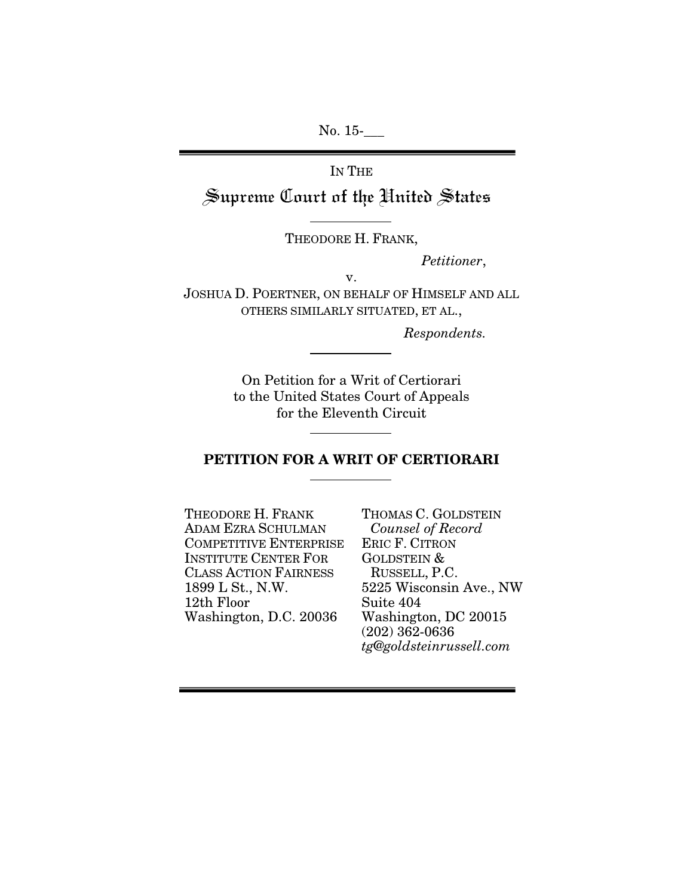No. 15-

IN THE Supreme Court of the United States

THEODORE H. FRANK,

 *Petitioner*,

JOSHUA D. POERTNER, ON BEHALF OF HIMSELF AND ALL OTHERS SIMILARLY SITUATED, ET AL.,

v.

*Respondents.* 

On Petition for a Writ of Certiorari to the United States Court of Appeals for the Eleventh Circuit

## PETITION FOR A WRIT OF CERTIORARI

THEODORE H. FRANK ADAM EZRA SCHULMAN COMPETITIVE ENTERPRISE INSTITUTE CENTER FOR CLASS ACTION FAIRNESS 1899 L St., N.W. 12th Floor Washington, D.C. 20036

THOMAS C. GOLDSTEIN *Counsel of Record*  ERIC F. CITRON GOLDSTEIN & RUSSELL, P.C. 5225 Wisconsin Ave., NW Suite 404 Washington, DC 20015 (202) 362-0636 *tg@goldsteinrussell.com*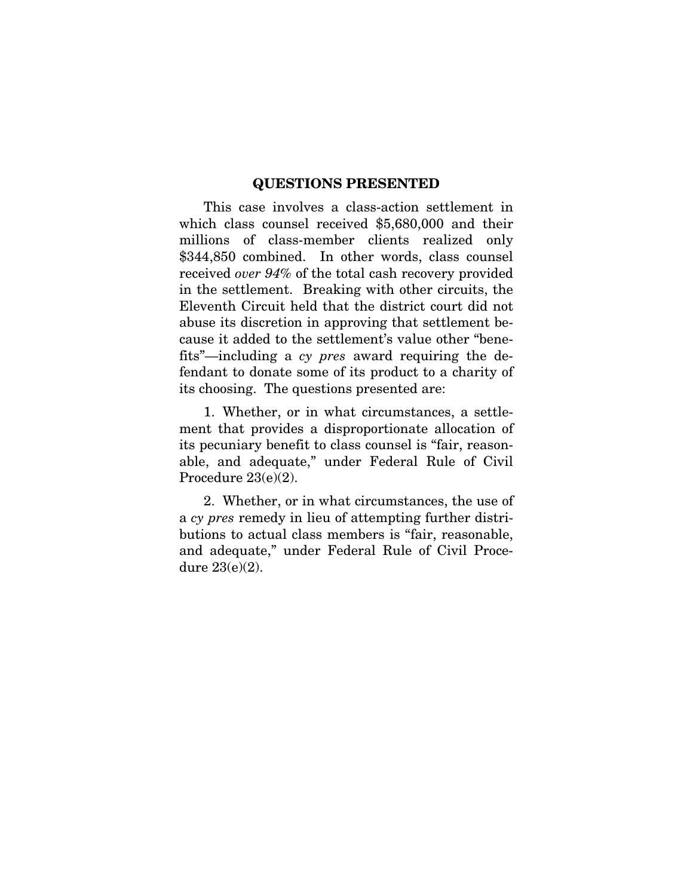### QUESTIONS PRESENTED

This case involves a class-action settlement in which class counsel received \$5,680,000 and their millions of class-member clients realized only \$344,850 combined. In other words, class counsel received *over 94%* of the total cash recovery provided in the settlement. Breaking with other circuits, the Eleventh Circuit held that the district court did not abuse its discretion in approving that settlement because it added to the settlement's value other "benefits"—including a *cy pres* award requiring the defendant to donate some of its product to a charity of its choosing. The questions presented are:

1. Whether, or in what circumstances, a settlement that provides a disproportionate allocation of its pecuniary benefit to class counsel is "fair, reasonable, and adequate," under Federal Rule of Civil Procedure 23(e)(2).

2. Whether, or in what circumstances, the use of a *cy pres* remedy in lieu of attempting further distributions to actual class members is "fair, reasonable, and adequate," under Federal Rule of Civil Procedure 23(e)(2).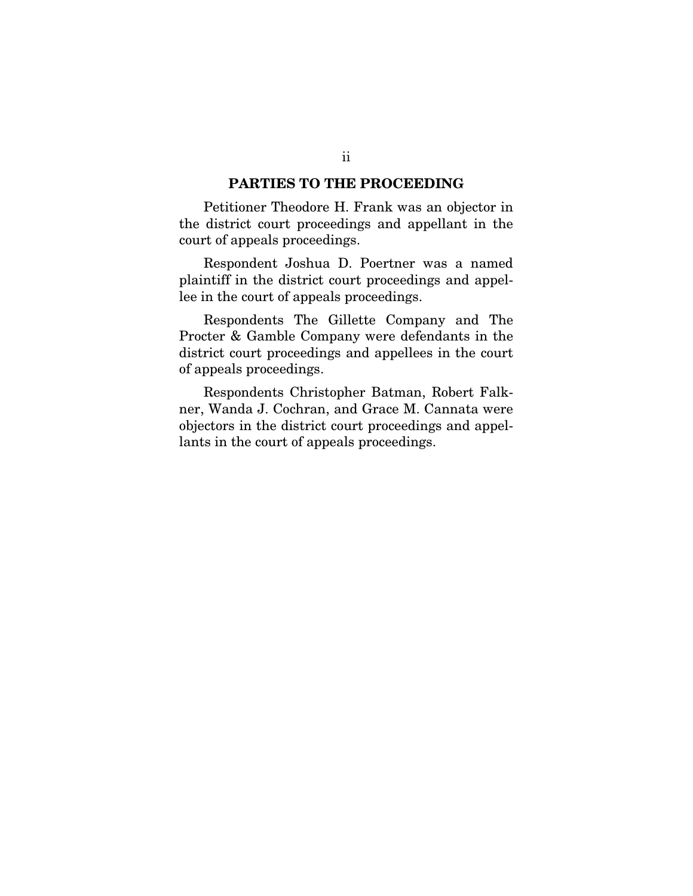### PARTIES TO THE PROCEEDING

Petitioner Theodore H. Frank was an objector in the district court proceedings and appellant in the court of appeals proceedings.

Respondent Joshua D. Poertner was a named plaintiff in the district court proceedings and appellee in the court of appeals proceedings.

Respondents The Gillette Company and The Procter & Gamble Company were defendants in the district court proceedings and appellees in the court of appeals proceedings.

Respondents Christopher Batman, Robert Falkner, Wanda J. Cochran, and Grace M. Cannata were objectors in the district court proceedings and appellants in the court of appeals proceedings.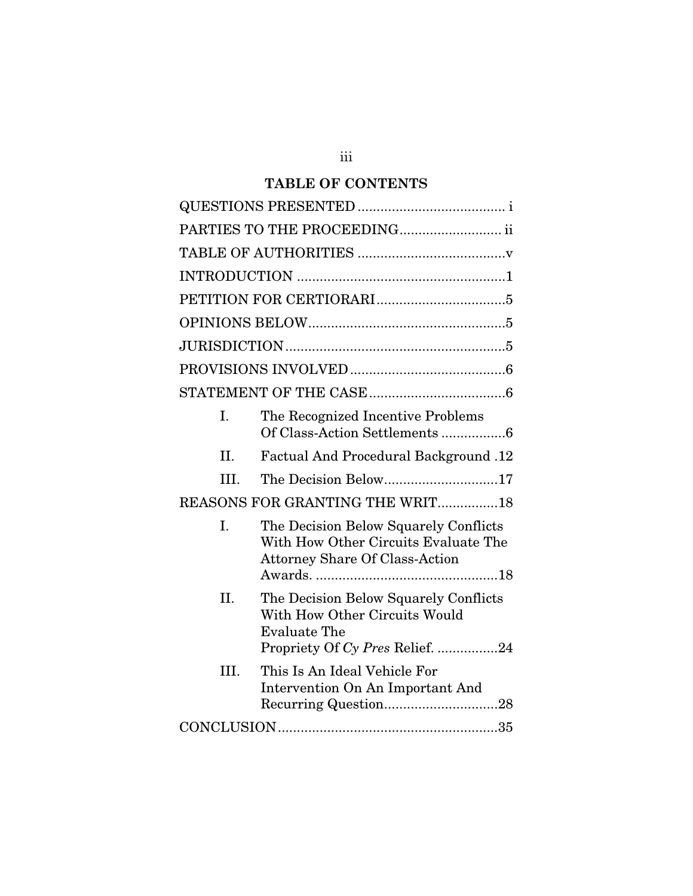## **TABLE OF CONTENTS**

|         | PARTIES TO THE PROCEEDING ii                                                                                                     |  |  |
|---------|----------------------------------------------------------------------------------------------------------------------------------|--|--|
|         |                                                                                                                                  |  |  |
|         |                                                                                                                                  |  |  |
|         |                                                                                                                                  |  |  |
|         |                                                                                                                                  |  |  |
|         |                                                                                                                                  |  |  |
|         |                                                                                                                                  |  |  |
|         |                                                                                                                                  |  |  |
| Ι.      | The Recognized Incentive Problems<br>Of Class-Action Settlements 6                                                               |  |  |
| $\Pi$ . | Factual And Procedural Background .12                                                                                            |  |  |
| III.    | The Decision Below17                                                                                                             |  |  |
|         | REASONS FOR GRANTING THE WRIT18                                                                                                  |  |  |
| I.      | The Decision Below Squarely Conflicts<br>With How Other Circuits Evaluate The<br><b>Attorney Share Of Class-Action</b>           |  |  |
| II.     | The Decision Below Squarely Conflicts<br>With How Other Circuits Would<br><b>Evaluate The</b><br>Propriety Of Cy Pres Relief. 24 |  |  |
| III.    | This Is An Ideal Vehicle For<br>Intervention On An Important And                                                                 |  |  |
|         |                                                                                                                                  |  |  |

iii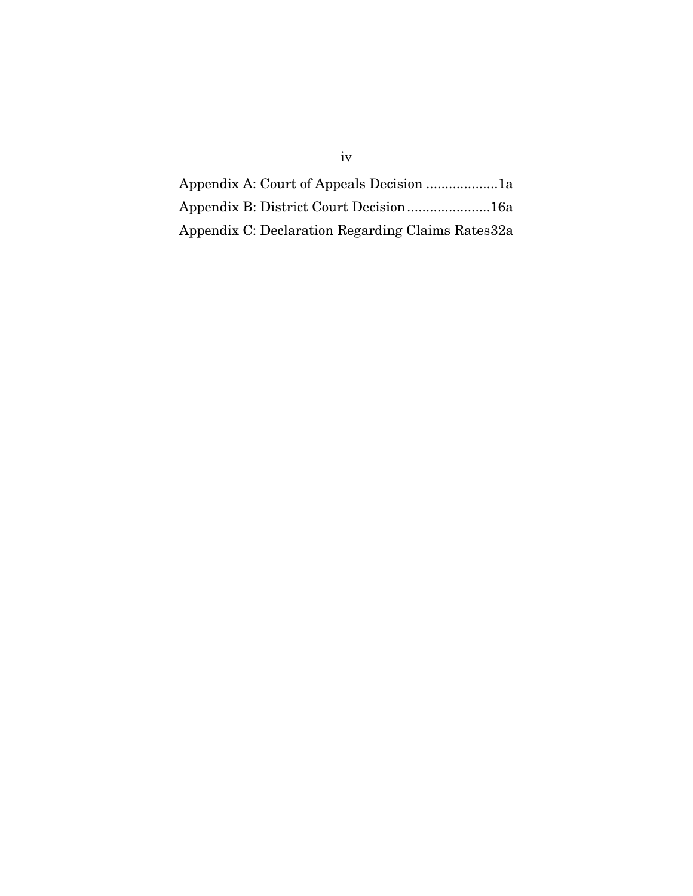| Appendix C: Declaration Regarding Claims Rates 32a |  |
|----------------------------------------------------|--|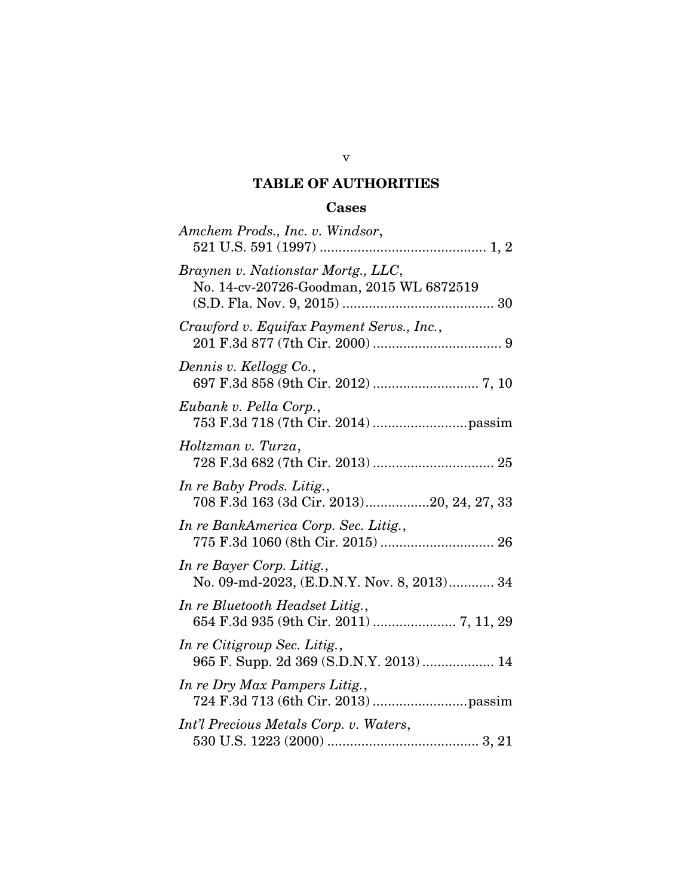## TABLE OF AUTHORITIES

# Cases

| Amchem Prods., Inc. v. Windsor,                                                |
|--------------------------------------------------------------------------------|
| Braynen v. Nationstar Mortg., LLC,<br>No. 14-cv-20726-Goodman, 2015 WL 6872519 |
| Crawford v. Equifax Payment Servs., Inc.,                                      |
| Dennis v. Kellogg Co.,                                                         |
| Eubank v. Pella Corp.,                                                         |
| Holtzman v. Turza,                                                             |
| In re Baby Prods. Litig.,<br>708 F.3d 163 (3d Cir. 2013)20, 24, 27, 33         |
| In re BankAmerica Corp. Sec. Litig.,                                           |
| In re Bayer Corp. Litig.,<br>No. 09-md-2023, (E.D.N.Y. Nov. 8, 2013) 34        |
| In re Bluetooth Headset Litig.,<br>654 F.3d 935 (9th Cir. 2011)  7, 11, 29     |
| In re Citigroup Sec. Litig.,<br>965 F. Supp. 2d 369 (S.D.N.Y. 2013)  14        |
| In re Dry Max Pampers Litig.,                                                  |
| Int'l Precious Metals Corp. v. Waters,                                         |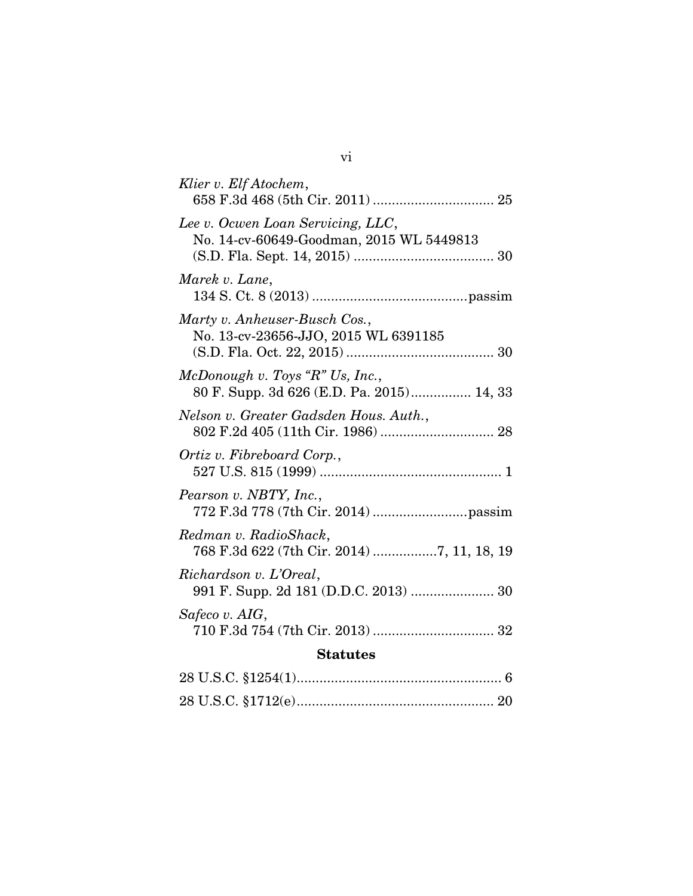| Klier v. Elf Atochem,                                                         |  |  |  |  |
|-------------------------------------------------------------------------------|--|--|--|--|
| Lee v. Ocwen Loan Servicing, LLC,<br>No. 14-cv-60649-Goodman, 2015 WL 5449813 |  |  |  |  |
| Marek v. Lane,                                                                |  |  |  |  |
| Marty v. Anheuser-Busch Cos.,<br>No. 13-cv-23656-JJO, 2015 WL 6391185         |  |  |  |  |
| McDonough v. Toys "R" Us, Inc.,<br>80 F. Supp. 3d 626 (E.D. Pa. 2015) 14, 33  |  |  |  |  |
| Nelson v. Greater Gadsden Hous. Auth.,                                        |  |  |  |  |
| Ortiz v. Fibreboard Corp.,                                                    |  |  |  |  |
| Pearson v. NBTY, Inc.,                                                        |  |  |  |  |
| Redman v. RadioShack,<br>768 F.3d 622 (7th Cir. 2014) 7, 11, 18, 19           |  |  |  |  |
| Richardson v. L'Oreal,<br>991 F. Supp. 2d 181 (D.D.C. 2013)  30               |  |  |  |  |
| Safeco v. AIG,                                                                |  |  |  |  |
| <b>Statutes</b>                                                               |  |  |  |  |
| $98$ II Q $\alpha$ $81954(1)$<br>$\mathcal{L}$                                |  |  |  |  |

vi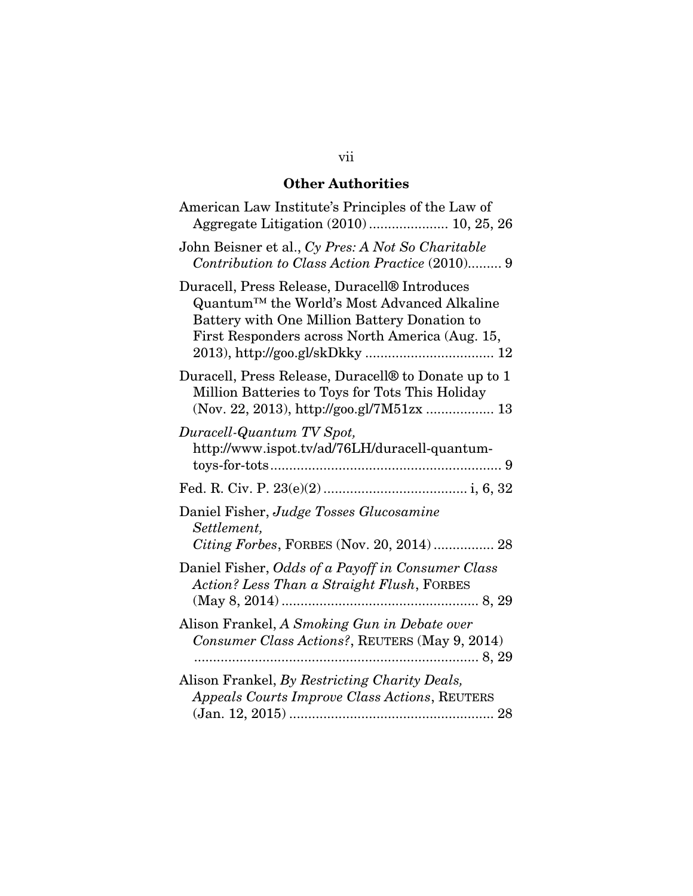## Other Authorities

| American Law Institute's Principles of the Law of<br>Aggregate Litigation (2010)  10, 25, 26                                                                                                    |
|-------------------------------------------------------------------------------------------------------------------------------------------------------------------------------------------------|
| John Beisner et al., Cy Pres: A Not So Charitable<br>Contribution to Class Action Practice (2010) 9                                                                                             |
| Duracell, Press Release, Duracell® Introduces<br>Quantum™ the World's Most Advanced Alkaline<br>Battery with One Million Battery Donation to<br>First Responders across North America (Aug. 15, |
| Duracell, Press Release, Duracell <sup>®</sup> to Donate up to 1<br>Million Batteries to Toys for Tots This Holiday<br>(Nov. 22, 2013), http://goo.gl/7M51zx  13                                |
| Duracell-Quantum TV Spot,<br>http://www.ispot.tv/ad/76LH/duracell-quantum-                                                                                                                      |
|                                                                                                                                                                                                 |
| Daniel Fisher, Judge Tosses Glucosamine<br>Settlement,<br>Citing Forbes, FORBES (Nov. 20, 2014)  28                                                                                             |
| Daniel Fisher, Odds of a Payoff in Consumer Class<br>Action? Less Than a Straight Flush, FORBES                                                                                                 |
| Alison Frankel, A Smoking Gun in Debate over<br>Consumer Class Actions?, REUTERS (May 9, 2014)                                                                                                  |
| Alison Frankel, By Restricting Charity Deals,<br>Appeals Courts Improve Class Actions, REUTERS                                                                                                  |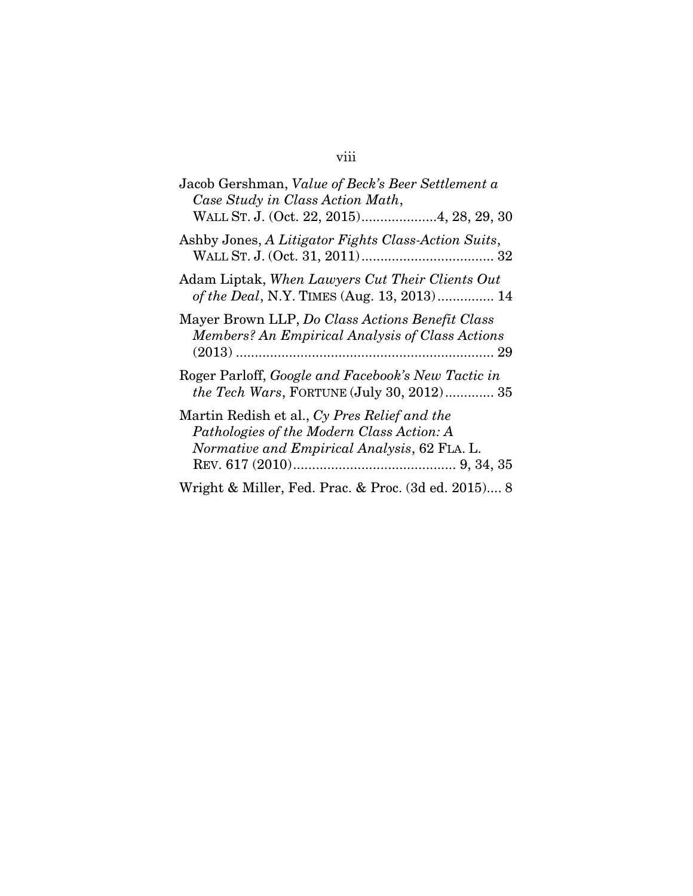# Jacob Gershman, *Value of Beck's Beer Settlement a Case Study in Class Action Math*, WALL ST. J. (Oct. 22, 2015) ....................4, 28, 29, 30 Ashby Jones, *A Litigator Fights Class-Action Suits*, WALL ST. J. (Oct. 31, 2011) ................................... 32 Adam Liptak, *When Lawyers Cut Their Clients Out of the Deal*, N.Y. TIMES (Aug. 13, 2013) ............... 14 Mayer Brown LLP, *Do Class Actions Benefit Class Members? An Empirical Analysis of Class Actions* (2013) .................................................................... 29 Roger Parloff, *Google and Facebook's New Tactic in the Tech Wars*, FORTUNE (July 30, 2012) ............. 35 Martin Redish et al., *Cy Pres Relief and the Pathologies of the Modern Class Action: A Normative and Empirical Analysis*, 62 FLA. L. REV. 617 (2010) ........................................... 9, 34, 35

Wright & Miller, Fed. Prac. & Proc. (3d ed. 2015) .... 8

#### viii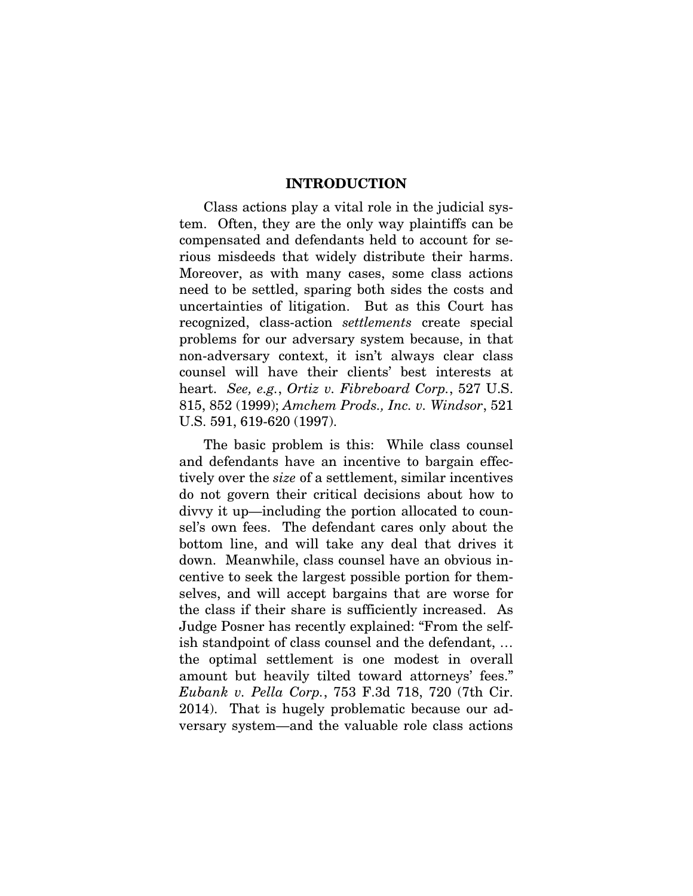#### INTRODUCTION

Class actions play a vital role in the judicial system. Often, they are the only way plaintiffs can be compensated and defendants held to account for serious misdeeds that widely distribute their harms. Moreover, as with many cases, some class actions need to be settled, sparing both sides the costs and uncertainties of litigation. But as this Court has recognized, class-action *settlements* create special problems for our adversary system because, in that non-adversary context, it isn't always clear class counsel will have their clients' best interests at heart. *See, e.g.*, *Ortiz v. Fibreboard Corp.*, 527 U.S. 815, 852 (1999); *Amchem Prods., Inc. v. Windsor*, 521 U.S. 591, 619-620 (1997).

The basic problem is this: While class counsel and defendants have an incentive to bargain effectively over the *size* of a settlement, similar incentives do not govern their critical decisions about how to divvy it up—including the portion allocated to counsel's own fees. The defendant cares only about the bottom line, and will take any deal that drives it down. Meanwhile, class counsel have an obvious incentive to seek the largest possible portion for themselves, and will accept bargains that are worse for the class if their share is sufficiently increased. As Judge Posner has recently explained: "From the selfish standpoint of class counsel and the defendant, … the optimal settlement is one modest in overall amount but heavily tilted toward attorneys' fees." *Eubank v. Pella Corp.*, 753 F.3d 718, 720 (7th Cir. 2014). That is hugely problematic because our adversary system—and the valuable role class actions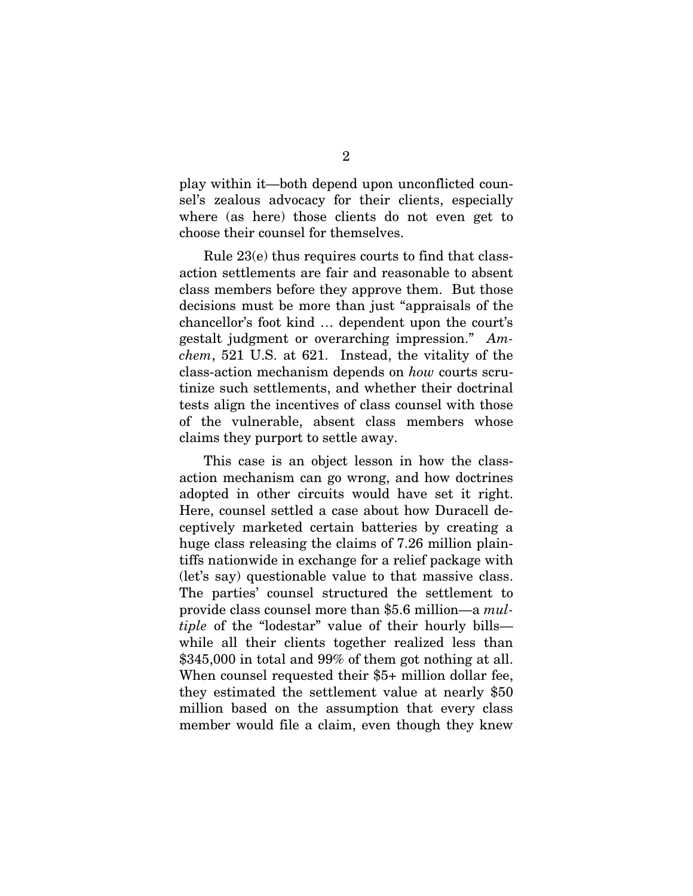play within it—both depend upon unconflicted counsel's zealous advocacy for their clients, especially where (as here) those clients do not even get to choose their counsel for themselves.

Rule 23(e) thus requires courts to find that classaction settlements are fair and reasonable to absent class members before they approve them. But those decisions must be more than just "appraisals of the chancellor's foot kind … dependent upon the court's gestalt judgment or overarching impression." *Amchem*, 521 U.S. at 621. Instead, the vitality of the class-action mechanism depends on *how* courts scrutinize such settlements, and whether their doctrinal tests align the incentives of class counsel with those of the vulnerable, absent class members whose claims they purport to settle away.

This case is an object lesson in how the classaction mechanism can go wrong, and how doctrines adopted in other circuits would have set it right. Here, counsel settled a case about how Duracell deceptively marketed certain batteries by creating a huge class releasing the claims of 7.26 million plaintiffs nationwide in exchange for a relief package with (let's say) questionable value to that massive class. The parties' counsel structured the settlement to provide class counsel more than \$5.6 million—a *multiple* of the "lodestar" value of their hourly bills while all their clients together realized less than \$345,000 in total and 99% of them got nothing at all. When counsel requested their \$5+ million dollar fee, they estimated the settlement value at nearly \$50 million based on the assumption that every class member would file a claim, even though they knew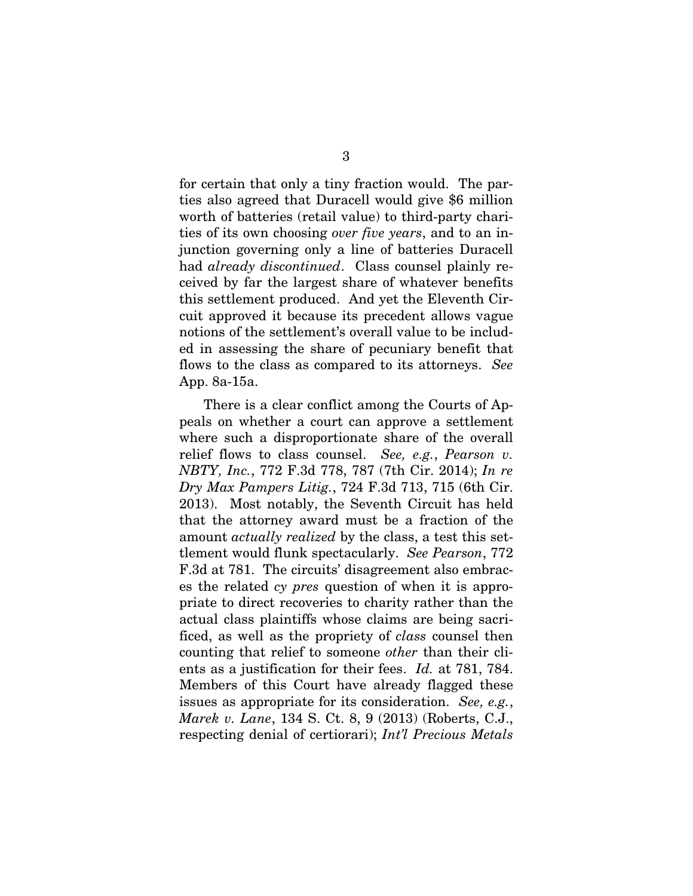for certain that only a tiny fraction would. The parties also agreed that Duracell would give \$6 million worth of batteries (retail value) to third-party charities of its own choosing *over five years*, and to an injunction governing only a line of batteries Duracell had *already discontinued*. Class counsel plainly received by far the largest share of whatever benefits this settlement produced. And yet the Eleventh Circuit approved it because its precedent allows vague notions of the settlement's overall value to be included in assessing the share of pecuniary benefit that flows to the class as compared to its attorneys. *See*  App. 8a-15a.

There is a clear conflict among the Courts of Appeals on whether a court can approve a settlement where such a disproportionate share of the overall relief flows to class counsel. *See, e.g.*, *Pearson v. NBTY, Inc.*, 772 F.3d 778, 787 (7th Cir. 2014); *In re Dry Max Pampers Litig.*, 724 F.3d 713, 715 (6th Cir. 2013). Most notably, the Seventh Circuit has held that the attorney award must be a fraction of the amount *actually realized* by the class, a test this settlement would flunk spectacularly. *See Pearson*, 772 F.3d at 781. The circuits' disagreement also embraces the related *cy pres* question of when it is appropriate to direct recoveries to charity rather than the actual class plaintiffs whose claims are being sacrificed, as well as the propriety of *class* counsel then counting that relief to someone *other* than their clients as a justification for their fees. *Id.* at 781, 784. Members of this Court have already flagged these issues as appropriate for its consideration. *See, e.g.*, *Marek v. Lane*, 134 S. Ct. 8, 9 (2013) (Roberts, C.J., respecting denial of certiorari); *Int'l Precious Metals*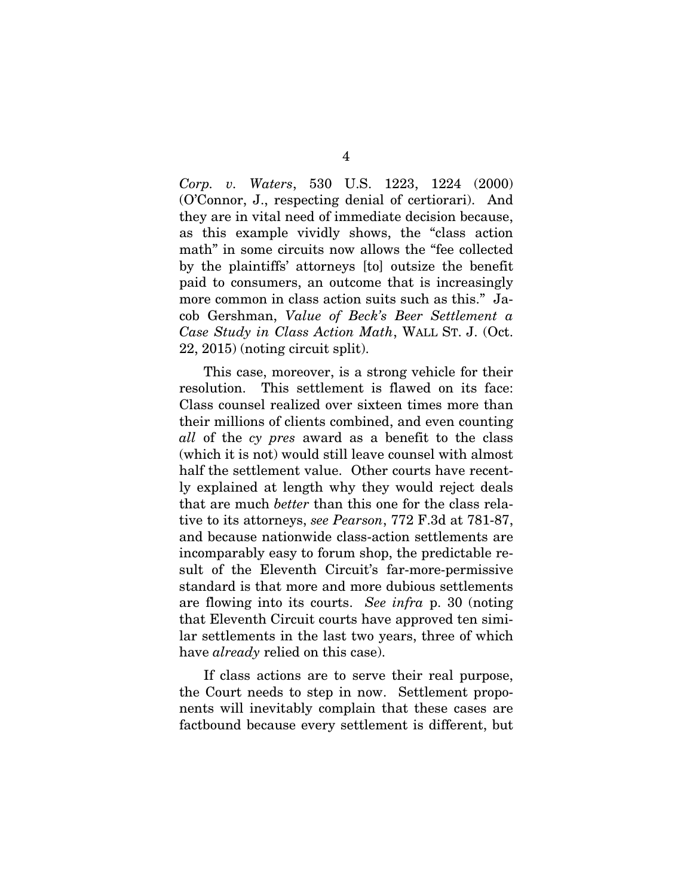*Corp. v. Waters*, 530 U.S. 1223, 1224 (2000) (O'Connor, J., respecting denial of certiorari). And they are in vital need of immediate decision because, as this example vividly shows, the "class action math" in some circuits now allows the "fee collected" by the plaintiffs' attorneys [to] outsize the benefit paid to consumers, an outcome that is increasingly more common in class action suits such as this." Jacob Gershman, *Value of Beck's Beer Settlement a Case Study in Class Action Math*, WALL ST. J. (Oct. 22, 2015) (noting circuit split).

This case, moreover, is a strong vehicle for their resolution. This settlement is flawed on its face: Class counsel realized over sixteen times more than their millions of clients combined, and even counting *all* of the *cy pres* award as a benefit to the class (which it is not) would still leave counsel with almost half the settlement value. Other courts have recently explained at length why they would reject deals that are much *better* than this one for the class relative to its attorneys, *see Pearson*, 772 F.3d at 781-87, and because nationwide class-action settlements are incomparably easy to forum shop, the predictable result of the Eleventh Circuit's far-more-permissive standard is that more and more dubious settlements are flowing into its courts. *See infra* p. 30 (noting that Eleventh Circuit courts have approved ten similar settlements in the last two years, three of which have *already* relied on this case).

If class actions are to serve their real purpose, the Court needs to step in now. Settlement proponents will inevitably complain that these cases are factbound because every settlement is different, but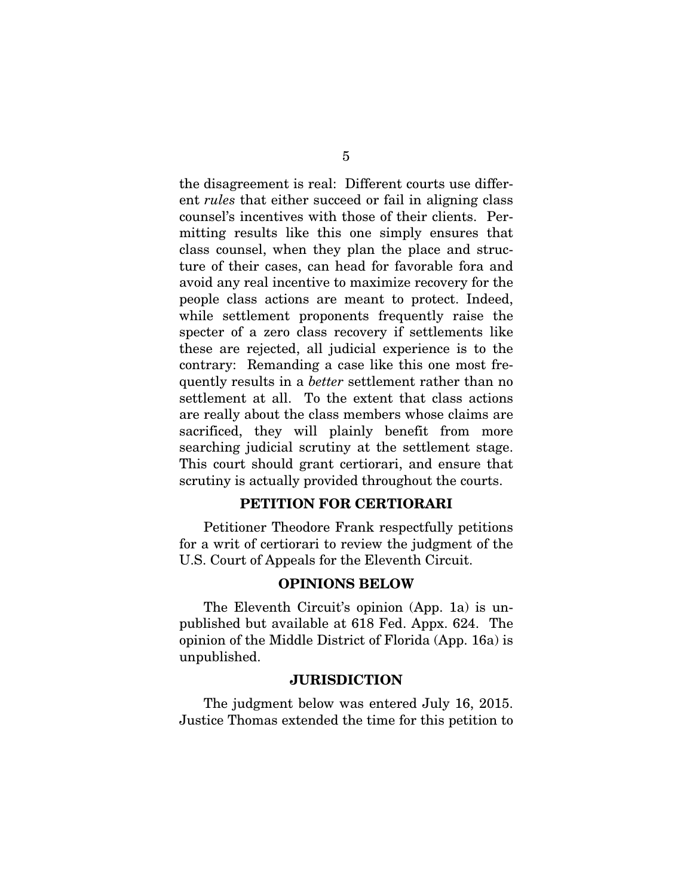the disagreement is real: Different courts use different *rules* that either succeed or fail in aligning class counsel's incentives with those of their clients. Permitting results like this one simply ensures that class counsel, when they plan the place and structure of their cases, can head for favorable fora and avoid any real incentive to maximize recovery for the people class actions are meant to protect. Indeed, while settlement proponents frequently raise the specter of a zero class recovery if settlements like these are rejected, all judicial experience is to the contrary: Remanding a case like this one most frequently results in a *better* settlement rather than no settlement at all. To the extent that class actions are really about the class members whose claims are sacrificed, they will plainly benefit from more searching judicial scrutiny at the settlement stage. This court should grant certiorari, and ensure that scrutiny is actually provided throughout the courts.

## PETITION FOR CERTIORARI

Petitioner Theodore Frank respectfully petitions for a writ of certiorari to review the judgment of the U.S. Court of Appeals for the Eleventh Circuit.

#### OPINIONS BELOW

The Eleventh Circuit's opinion (App. 1a) is unpublished but available at 618 Fed. Appx. 624. The opinion of the Middle District of Florida (App. 16a) is unpublished.

#### **JURISDICTION**

The judgment below was entered July 16, 2015. Justice Thomas extended the time for this petition to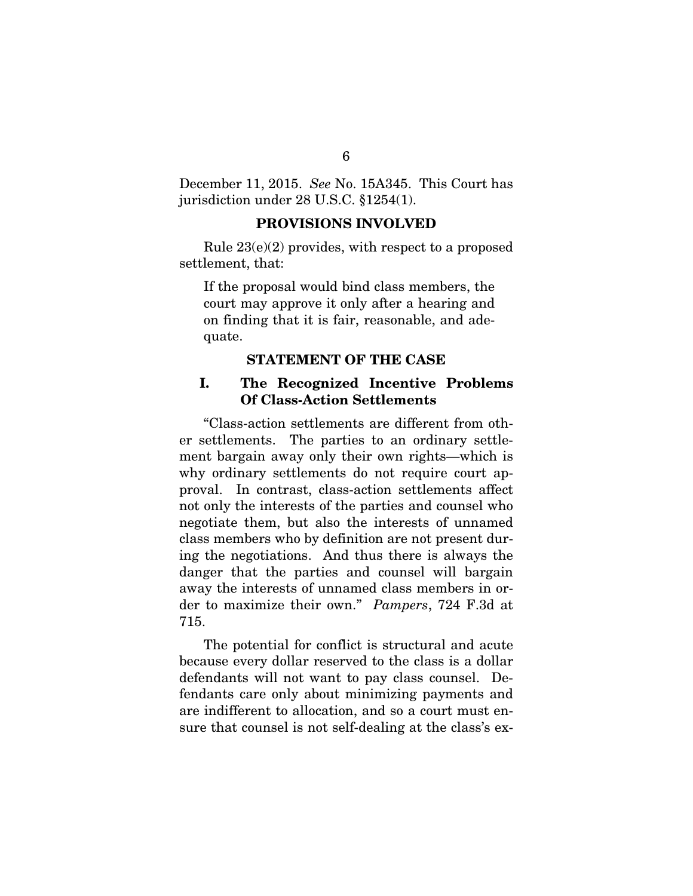December 11, 2015. *See* No. 15A345. This Court has jurisdiction under 28 U.S.C. §1254(1).

#### PROVISIONS INVOLVED

Rule 23(e)(2) provides, with respect to a proposed settlement, that:

If the proposal would bind class members, the court may approve it only after a hearing and on finding that it is fair, reasonable, and adequate.

#### STATEMENT OF THE CASE

## I. The Recognized Incentive Problems Of Class-Action Settlements

"Class-action settlements are different from other settlements. The parties to an ordinary settlement bargain away only their own rights—which is why ordinary settlements do not require court approval. In contrast, class-action settlements affect not only the interests of the parties and counsel who negotiate them, but also the interests of unnamed class members who by definition are not present during the negotiations. And thus there is always the danger that the parties and counsel will bargain away the interests of unnamed class members in order to maximize their own." *Pampers*, 724 F.3d at 715.

The potential for conflict is structural and acute because every dollar reserved to the class is a dollar defendants will not want to pay class counsel. Defendants care only about minimizing payments and are indifferent to allocation, and so a court must ensure that counsel is not self-dealing at the class's ex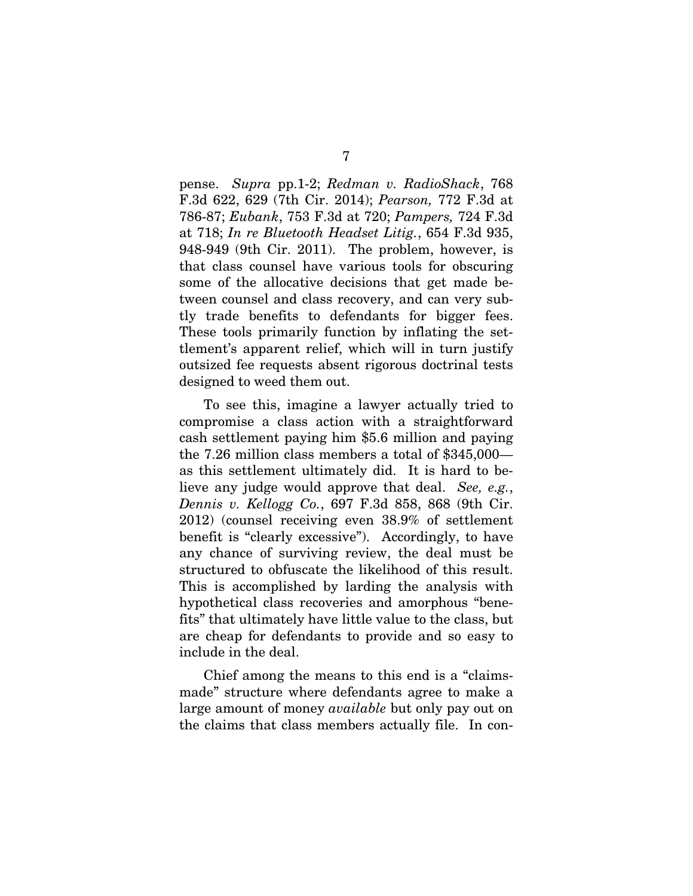pense. *Supra* pp.1-2; *Redman v. RadioShack*, 768 F.3d 622, 629 (7th Cir. 2014); *Pearson,* 772 F.3d at 786-87; *Eubank*, 753 F.3d at 720; *Pampers,* 724 F.3d at 718; *In re Bluetooth Headset Litig.*, 654 F.3d 935, 948-949 (9th Cir. 2011). The problem, however, is that class counsel have various tools for obscuring some of the allocative decisions that get made between counsel and class recovery, and can very subtly trade benefits to defendants for bigger fees. These tools primarily function by inflating the settlement's apparent relief, which will in turn justify outsized fee requests absent rigorous doctrinal tests designed to weed them out.

To see this, imagine a lawyer actually tried to compromise a class action with a straightforward cash settlement paying him \$5.6 million and paying the 7.26 million class members a total of \$345,000 as this settlement ultimately did. It is hard to believe any judge would approve that deal. *See, e.g.*, *Dennis v. Kellogg Co.*, 697 F.3d 858, 868 (9th Cir. 2012) (counsel receiving even 38.9% of settlement benefit is "clearly excessive"). Accordingly, to have any chance of surviving review, the deal must be structured to obfuscate the likelihood of this result. This is accomplished by larding the analysis with hypothetical class recoveries and amorphous "benefits" that ultimately have little value to the class, but are cheap for defendants to provide and so easy to include in the deal.

Chief among the means to this end is a "claimsmade" structure where defendants agree to make a large amount of money *available* but only pay out on the claims that class members actually file. In con-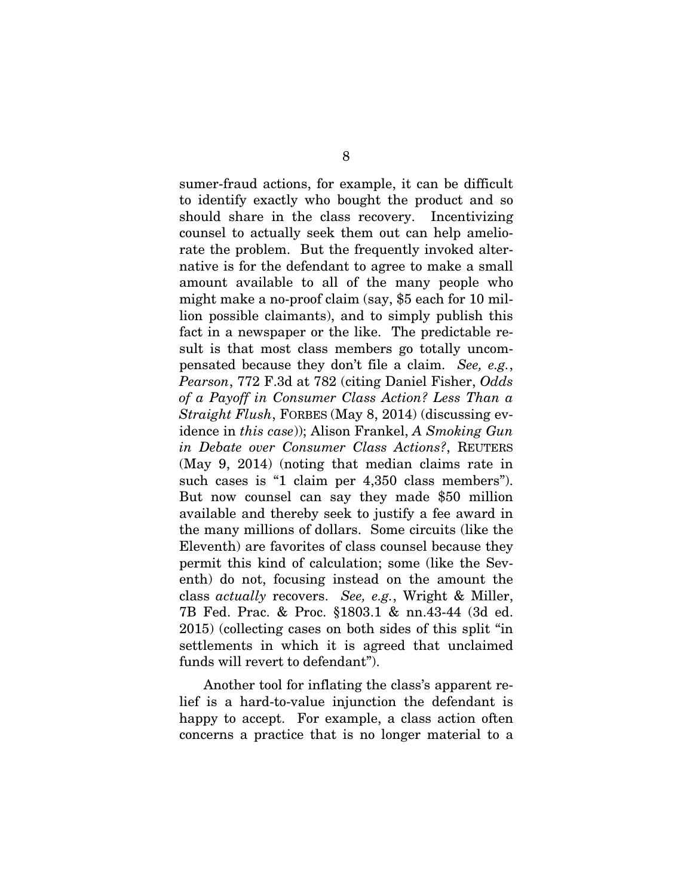sumer-fraud actions, for example, it can be difficult to identify exactly who bought the product and so should share in the class recovery. Incentivizing counsel to actually seek them out can help ameliorate the problem. But the frequently invoked alternative is for the defendant to agree to make a small amount available to all of the many people who might make a no-proof claim (say, \$5 each for 10 million possible claimants), and to simply publish this fact in a newspaper or the like. The predictable result is that most class members go totally uncompensated because they don't file a claim. *See, e.g.*, *Pearson*, 772 F.3d at 782 (citing Daniel Fisher, *Odds of a Payoff in Consumer Class Action? Less Than a Straight Flush*, FORBES (May 8, 2014) (discussing evidence in *this case*)); Alison Frankel, *A Smoking Gun in Debate over Consumer Class Actions?*, REUTERS (May 9, 2014) (noting that median claims rate in such cases is "1 claim per 4,350 class members"). But now counsel can say they made \$50 million available and thereby seek to justify a fee award in the many millions of dollars. Some circuits (like the Eleventh) are favorites of class counsel because they permit this kind of calculation; some (like the Seventh) do not, focusing instead on the amount the class *actually* recovers. *See, e.g.*, Wright & Miller, 7B Fed. Prac. & Proc. §1803.1 & nn.43-44 (3d ed. 2015) (collecting cases on both sides of this split "in settlements in which it is agreed that unclaimed funds will revert to defendant").

Another tool for inflating the class's apparent relief is a hard-to-value injunction the defendant is happy to accept. For example, a class action often concerns a practice that is no longer material to a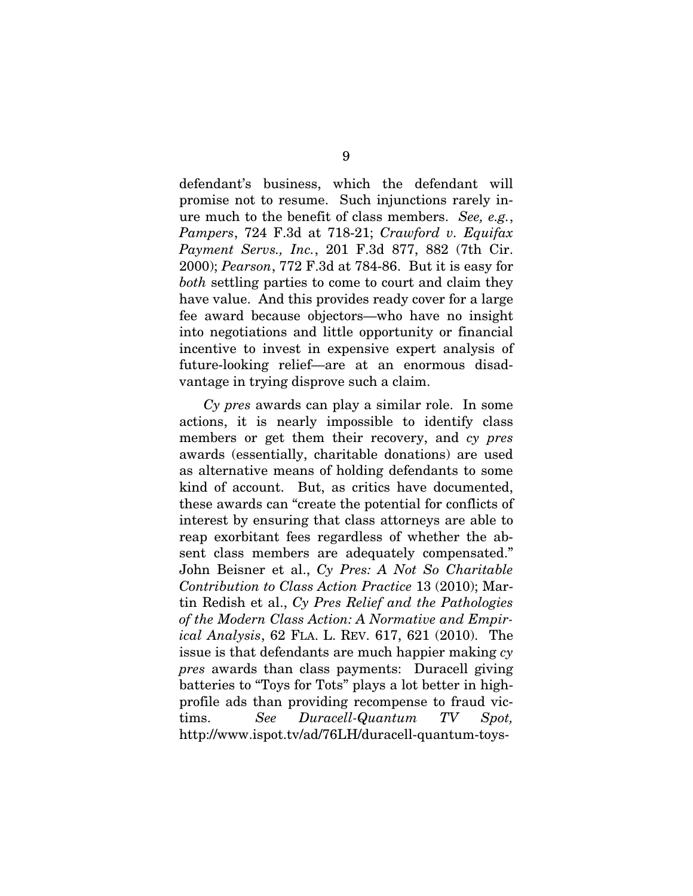defendant's business, which the defendant will promise not to resume. Such injunctions rarely inure much to the benefit of class members. *See, e.g.*, *Pampers*, 724 F.3d at 718-21; *Crawford v. Equifax Payment Servs., Inc.*, 201 F.3d 877, 882 (7th Cir. 2000); *Pearson*, 772 F.3d at 784-86. But it is easy for *both* settling parties to come to court and claim they have value. And this provides ready cover for a large fee award because objectors—who have no insight into negotiations and little opportunity or financial incentive to invest in expensive expert analysis of future-looking relief—are at an enormous disadvantage in trying disprove such a claim.

*Cy pres* awards can play a similar role. In some actions, it is nearly impossible to identify class members or get them their recovery, and *cy pres*  awards (essentially, charitable donations) are used as alternative means of holding defendants to some kind of account. But, as critics have documented, these awards can "create the potential for conflicts of interest by ensuring that class attorneys are able to reap exorbitant fees regardless of whether the absent class members are adequately compensated." John Beisner et al., *Cy Pres: A Not So Charitable Contribution to Class Action Practice* 13 (2010); Martin Redish et al., *Cy Pres Relief and the Pathologies of the Modern Class Action: A Normative and Empirical Analysis*, 62 FLA. L. REV. 617, 621 (2010). The issue is that defendants are much happier making *cy pres* awards than class payments: Duracell giving batteries to "Toys for Tots" plays a lot better in highprofile ads than providing recompense to fraud victims. *See Duracell-Quantum TV Spot,*  http://www.ispot.tv/ad/76LH/duracell-quantum-toys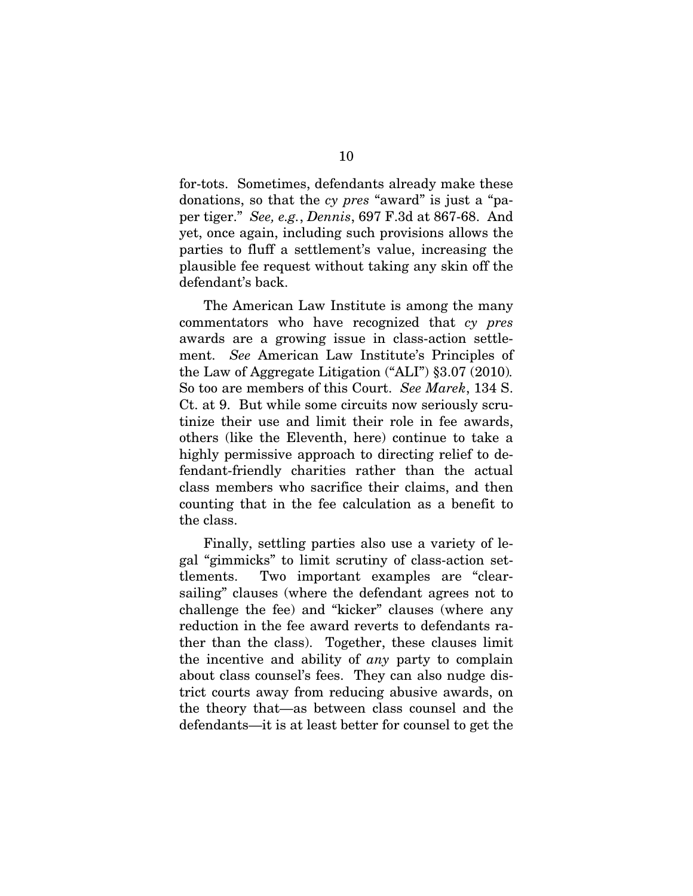for-tots. Sometimes, defendants already make these donations, so that the *cy pres* "award" is just a "paper tiger." *See, e.g.*, *Dennis*, 697 F.3d at 867-68. And yet, once again, including such provisions allows the parties to fluff a settlement's value, increasing the plausible fee request without taking any skin off the defendant's back.

The American Law Institute is among the many commentators who have recognized that *cy pres*  awards are a growing issue in class-action settlement. *See* American Law Institute's Principles of the Law of Aggregate Litigation ("ALI") §3.07 (2010)*.*  So too are members of this Court. *See Marek*, 134 S. Ct. at 9. But while some circuits now seriously scrutinize their use and limit their role in fee awards, others (like the Eleventh, here) continue to take a highly permissive approach to directing relief to defendant-friendly charities rather than the actual class members who sacrifice their claims, and then counting that in the fee calculation as a benefit to the class.

Finally, settling parties also use a variety of legal "gimmicks" to limit scrutiny of class-action settlements. Two important examples are "clearsailing" clauses (where the defendant agrees not to challenge the fee) and "kicker" clauses (where any reduction in the fee award reverts to defendants rather than the class). Together, these clauses limit the incentive and ability of *any* party to complain about class counsel's fees. They can also nudge district courts away from reducing abusive awards, on the theory that—as between class counsel and the defendants—it is at least better for counsel to get the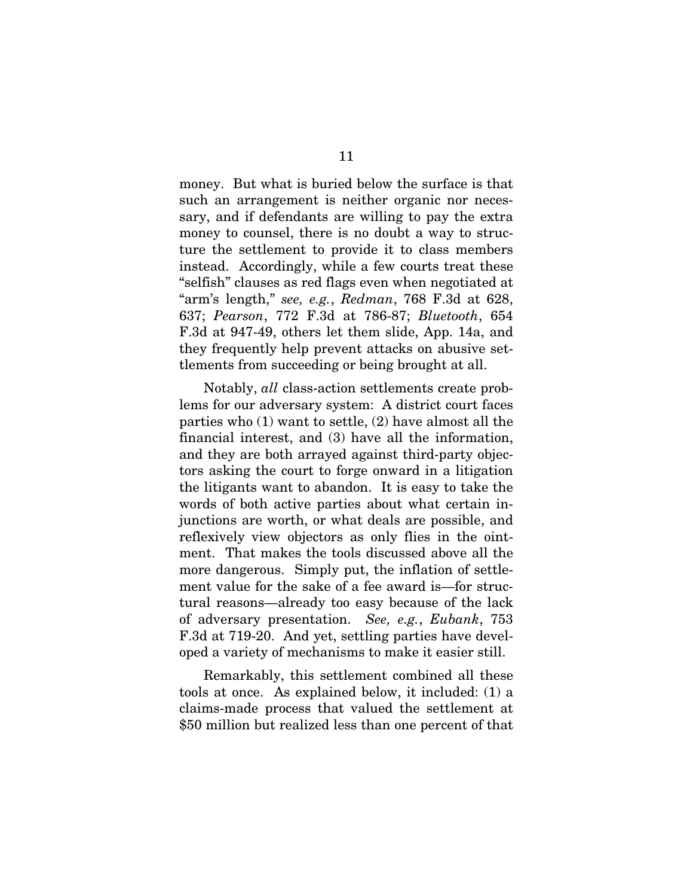money. But what is buried below the surface is that such an arrangement is neither organic nor necessary, and if defendants are willing to pay the extra money to counsel, there is no doubt a way to structure the settlement to provide it to class members instead. Accordingly, while a few courts treat these "selfish" clauses as red flags even when negotiated at "arm's length," *see, e.g.*, *Redman*, 768 F.3d at 628, 637; *Pearson*, 772 F.3d at 786-87; *Bluetooth*, 654 F.3d at 947-49, others let them slide, App. 14a, and they frequently help prevent attacks on abusive settlements from succeeding or being brought at all.

Notably, *all* class-action settlements create problems for our adversary system: A district court faces parties who (1) want to settle, (2) have almost all the financial interest, and (3) have all the information, and they are both arrayed against third-party objectors asking the court to forge onward in a litigation the litigants want to abandon. It is easy to take the words of both active parties about what certain injunctions are worth, or what deals are possible, and reflexively view objectors as only flies in the ointment. That makes the tools discussed above all the more dangerous. Simply put, the inflation of settlement value for the sake of a fee award is—for structural reasons—already too easy because of the lack of adversary presentation. *See, e.g.*, *Eubank*, 753 F.3d at 719-20. And yet, settling parties have developed a variety of mechanisms to make it easier still.

Remarkably, this settlement combined all these tools at once. As explained below, it included: (1) a claims-made process that valued the settlement at \$50 million but realized less than one percent of that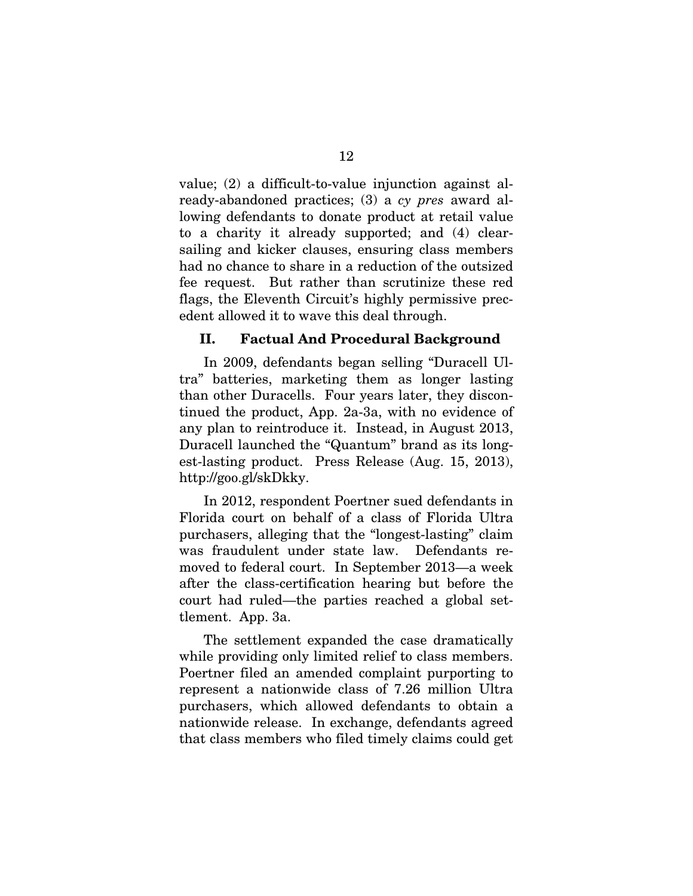value; (2) a difficult-to-value injunction against already-abandoned practices; (3) a *cy pres* award allowing defendants to donate product at retail value to a charity it already supported; and (4) clearsailing and kicker clauses, ensuring class members had no chance to share in a reduction of the outsized fee request. But rather than scrutinize these red flags, the Eleventh Circuit's highly permissive precedent allowed it to wave this deal through.

#### II. Factual And Procedural Background

In 2009, defendants began selling "Duracell Ultra" batteries, marketing them as longer lasting than other Duracells. Four years later, they discontinued the product, App. 2a-3a, with no evidence of any plan to reintroduce it. Instead, in August 2013, Duracell launched the "Quantum" brand as its longest-lasting product. Press Release (Aug. 15, 2013), http://goo.gl/skDkky.

In 2012, respondent Poertner sued defendants in Florida court on behalf of a class of Florida Ultra purchasers, alleging that the "longest-lasting" claim was fraudulent under state law. Defendants removed to federal court. In September 2013—a week after the class-certification hearing but before the court had ruled—the parties reached a global settlement. App. 3a.

The settlement expanded the case dramatically while providing only limited relief to class members. Poertner filed an amended complaint purporting to represent a nationwide class of 7.26 million Ultra purchasers, which allowed defendants to obtain a nationwide release. In exchange, defendants agreed that class members who filed timely claims could get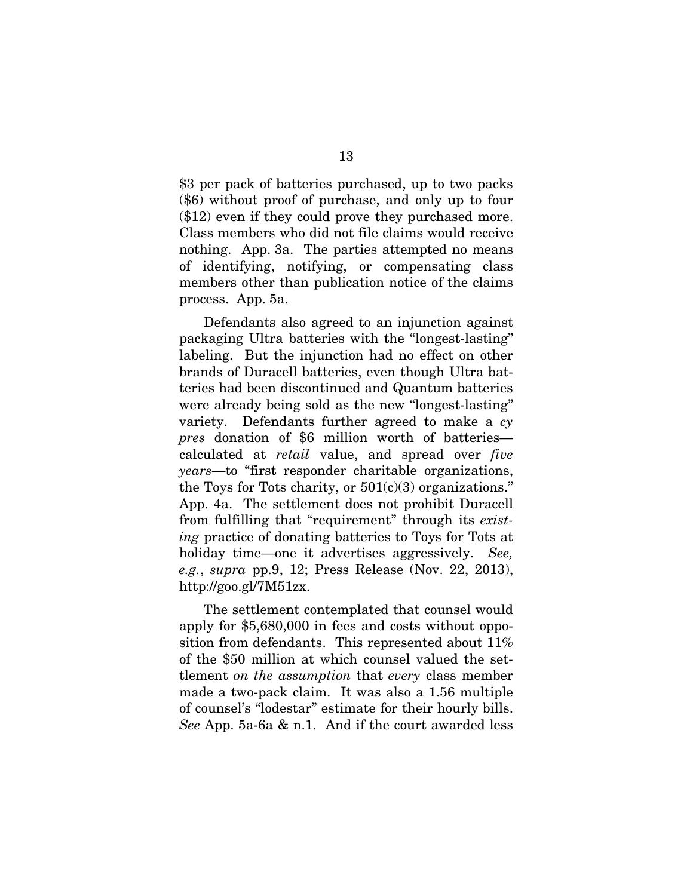\$3 per pack of batteries purchased, up to two packs (\$6) without proof of purchase, and only up to four (\$12) even if they could prove they purchased more. Class members who did not file claims would receive nothing. App. 3a. The parties attempted no means of identifying, notifying, or compensating class members other than publication notice of the claims process. App. 5a.

Defendants also agreed to an injunction against packaging Ultra batteries with the "longest-lasting" labeling. But the injunction had no effect on other brands of Duracell batteries, even though Ultra batteries had been discontinued and Quantum batteries were already being sold as the new "longest-lasting" variety. Defendants further agreed to make a *cy pres* donation of \$6 million worth of batteries calculated at *retail* value, and spread over *five years*—to "first responder charitable organizations, the Toys for Tots charity, or  $501(c)(3)$  organizations." App. 4a. The settlement does not prohibit Duracell from fulfilling that "requirement" through its *existing* practice of donating batteries to Toys for Tots at holiday time—one it advertises aggressively. *See, e.g.*, *supra* pp.9, 12; Press Release (Nov. 22, 2013), http://goo.gl/7M51zx.

The settlement contemplated that counsel would apply for \$5,680,000 in fees and costs without opposition from defendants. This represented about 11% of the \$50 million at which counsel valued the settlement *on the assumption* that *every* class member made a two-pack claim. It was also a 1.56 multiple of counsel's "lodestar" estimate for their hourly bills. *See* App. 5a-6a & n.1. And if the court awarded less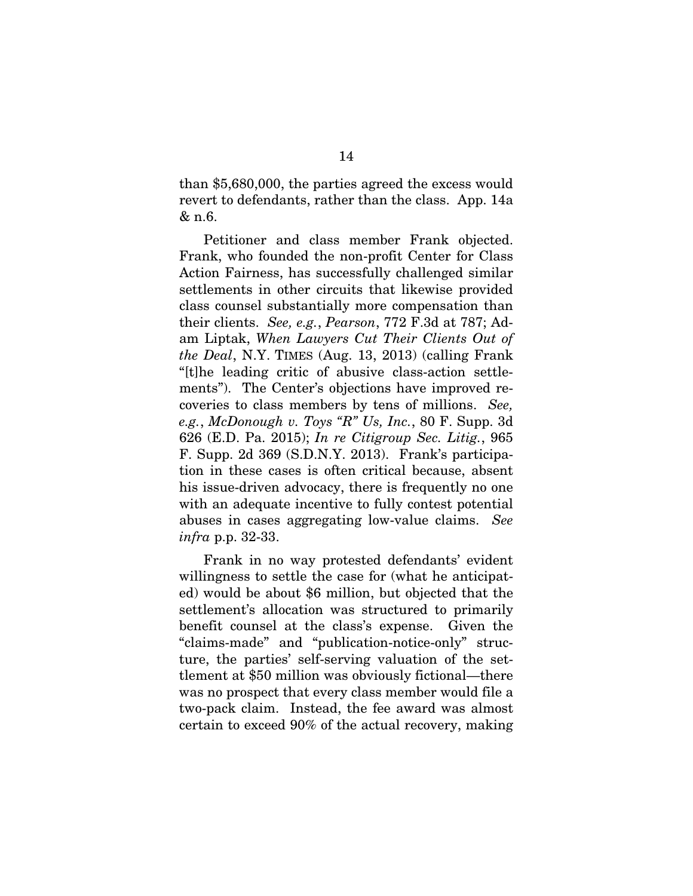than \$5,680,000, the parties agreed the excess would revert to defendants, rather than the class. App. 14a & n.6.

Petitioner and class member Frank objected. Frank, who founded the non-profit Center for Class Action Fairness, has successfully challenged similar settlements in other circuits that likewise provided class counsel substantially more compensation than their clients. *See, e.g.*, *Pearson*, 772 F.3d at 787; Adam Liptak, *When Lawyers Cut Their Clients Out of the Deal*, N.Y. TIMES (Aug. 13, 2013) (calling Frank "[t]he leading critic of abusive class-action settlements"). The Center's objections have improved recoveries to class members by tens of millions. *See, e.g.*, *McDonough v. Toys "R" Us, Inc.*, 80 F. Supp. 3d 626 (E.D. Pa. 2015); *In re Citigroup Sec. Litig.*, 965 F. Supp. 2d 369 (S.D.N.Y. 2013). Frank's participation in these cases is often critical because, absent his issue-driven advocacy, there is frequently no one with an adequate incentive to fully contest potential abuses in cases aggregating low-value claims. *See infra* p.p. 32-33.

Frank in no way protested defendants' evident willingness to settle the case for (what he anticipated) would be about \$6 million, but objected that the settlement's allocation was structured to primarily benefit counsel at the class's expense. Given the "claims-made" and "publication-notice-only" structure, the parties' self-serving valuation of the settlement at \$50 million was obviously fictional—there was no prospect that every class member would file a two-pack claim. Instead, the fee award was almost certain to exceed 90% of the actual recovery, making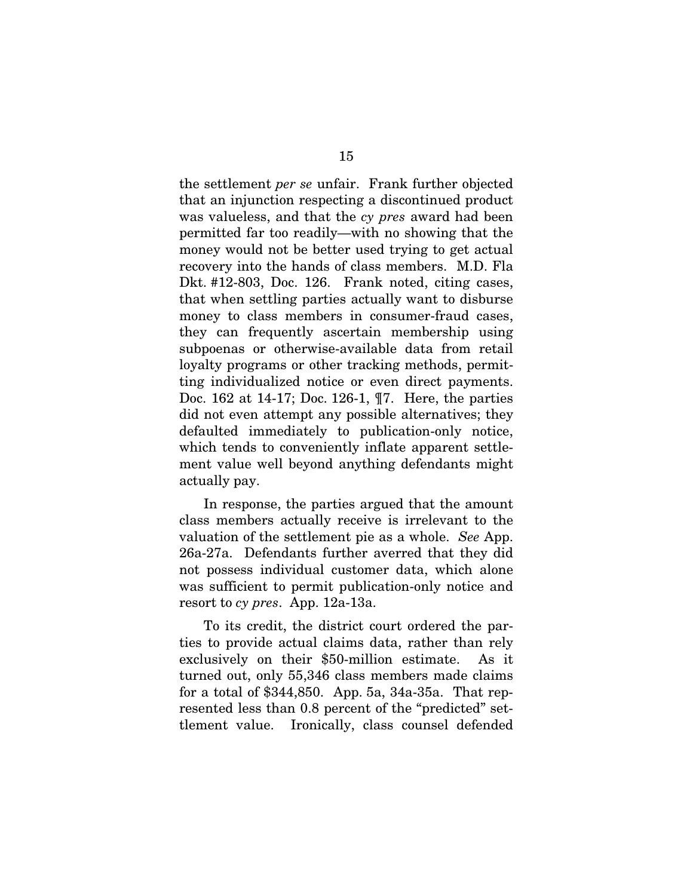the settlement *per se* unfair. Frank further objected that an injunction respecting a discontinued product was valueless, and that the *cy pres* award had been permitted far too readily—with no showing that the money would not be better used trying to get actual recovery into the hands of class members. M.D. Fla Dkt. #12-803, Doc. 126. Frank noted, citing cases, that when settling parties actually want to disburse money to class members in consumer-fraud cases, they can frequently ascertain membership using subpoenas or otherwise-available data from retail loyalty programs or other tracking methods, permitting individualized notice or even direct payments. Doc. 162 at 14-17; Doc. 126-1, ¶7. Here, the parties did not even attempt any possible alternatives; they defaulted immediately to publication-only notice, which tends to conveniently inflate apparent settlement value well beyond anything defendants might actually pay.

In response, the parties argued that the amount class members actually receive is irrelevant to the valuation of the settlement pie as a whole. *See* App. 26a-27a. Defendants further averred that they did not possess individual customer data, which alone was sufficient to permit publication-only notice and resort to *cy pres*. App. 12a-13a.

To its credit, the district court ordered the parties to provide actual claims data, rather than rely exclusively on their \$50-million estimate. As it turned out, only 55,346 class members made claims for a total of \$344,850. App. 5a, 34a-35a. That represented less than 0.8 percent of the "predicted" settlement value. Ironically, class counsel defended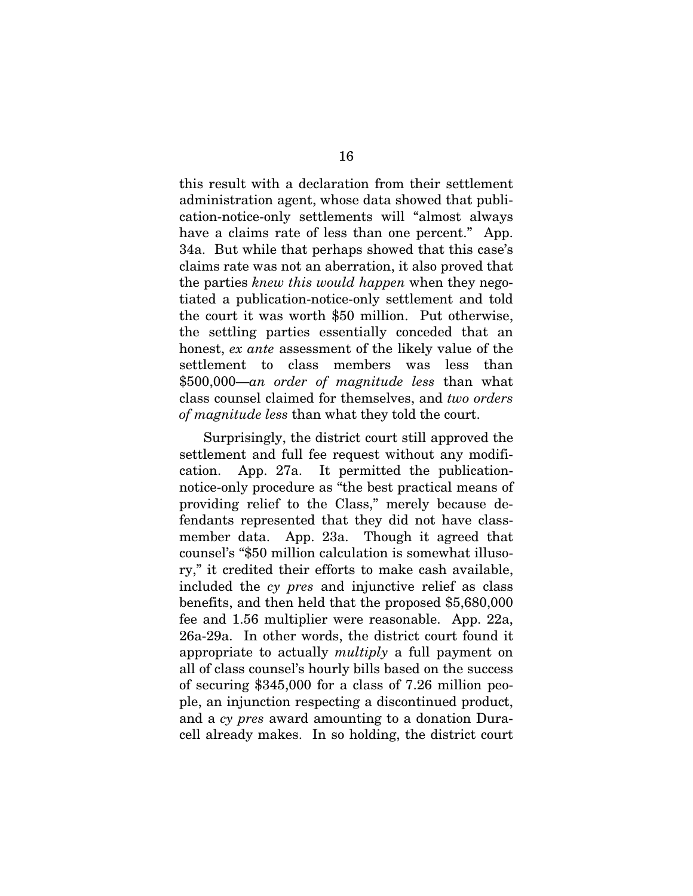this result with a declaration from their settlement administration agent, whose data showed that publication-notice-only settlements will "almost always have a claims rate of less than one percent." App. 34a. But while that perhaps showed that this case's claims rate was not an aberration, it also proved that the parties *knew this would happen* when they negotiated a publication-notice-only settlement and told the court it was worth \$50 million. Put otherwise, the settling parties essentially conceded that an honest, *ex ante* assessment of the likely value of the settlement to class members was less than \$500,000—*an order of magnitude less* than what class counsel claimed for themselves, and *two orders of magnitude less* than what they told the court.

Surprisingly, the district court still approved the settlement and full fee request without any modification. App. 27a. It permitted the publicationnotice-only procedure as "the best practical means of providing relief to the Class," merely because defendants represented that they did not have classmember data. App. 23a. Though it agreed that counsel's "\$50 million calculation is somewhat illusory," it credited their efforts to make cash available, included the *cy pres* and injunctive relief as class benefits, and then held that the proposed \$5,680,000 fee and 1.56 multiplier were reasonable. App. 22a, 26a-29a. In other words, the district court found it appropriate to actually *multiply* a full payment on all of class counsel's hourly bills based on the success of securing \$345,000 for a class of 7.26 million people, an injunction respecting a discontinued product, and a *cy pres* award amounting to a donation Duracell already makes. In so holding, the district court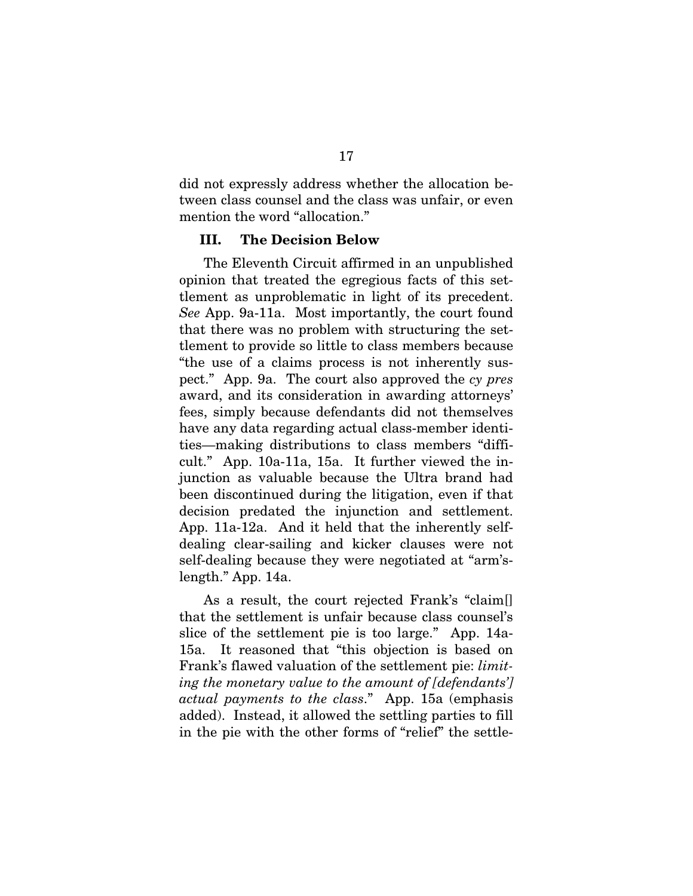did not expressly address whether the allocation between class counsel and the class was unfair, or even mention the word "allocation."

#### III. The Decision Below

The Eleventh Circuit affirmed in an unpublished opinion that treated the egregious facts of this settlement as unproblematic in light of its precedent. *See* App. 9a-11a. Most importantly, the court found that there was no problem with structuring the settlement to provide so little to class members because "the use of a claims process is not inherently suspect." App. 9a. The court also approved the *cy pres*  award, and its consideration in awarding attorneys' fees, simply because defendants did not themselves have any data regarding actual class-member identities—making distributions to class members "difficult." App. 10a-11a, 15a. It further viewed the injunction as valuable because the Ultra brand had been discontinued during the litigation, even if that decision predated the injunction and settlement. App. 11a-12a. And it held that the inherently selfdealing clear-sailing and kicker clauses were not self-dealing because they were negotiated at "arm'slength." App. 14a.

As a result, the court rejected Frank's "claim[] that the settlement is unfair because class counsel's slice of the settlement pie is too large." App. 14a-15a. It reasoned that "this objection is based on Frank's flawed valuation of the settlement pie: *limiting the monetary value to the amount of [defendants'] actual payments to the class*." App. 15a (emphasis added). Instead, it allowed the settling parties to fill in the pie with the other forms of "relief" the settle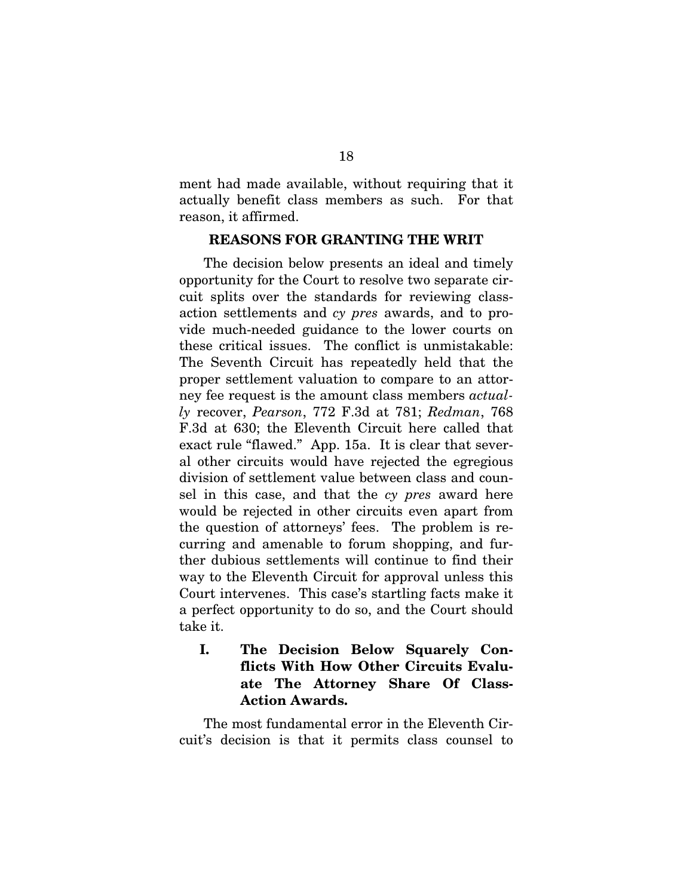ment had made available, without requiring that it actually benefit class members as such. For that reason, it affirmed.

#### REASONS FOR GRANTING THE WRIT

The decision below presents an ideal and timely opportunity for the Court to resolve two separate circuit splits over the standards for reviewing classaction settlements and *cy pres* awards, and to provide much-needed guidance to the lower courts on these critical issues. The conflict is unmistakable: The Seventh Circuit has repeatedly held that the proper settlement valuation to compare to an attorney fee request is the amount class members *actually* recover, *Pearson*, 772 F.3d at 781; *Redman*, 768 F.3d at 630; the Eleventh Circuit here called that exact rule "flawed." App. 15a. It is clear that several other circuits would have rejected the egregious division of settlement value between class and counsel in this case, and that the *cy pres* award here would be rejected in other circuits even apart from the question of attorneys' fees. The problem is recurring and amenable to forum shopping, and further dubious settlements will continue to find their way to the Eleventh Circuit for approval unless this Court intervenes. This case's startling facts make it a perfect opportunity to do so, and the Court should take it.

I. The Decision Below Squarely Conflicts With How Other Circuits Evaluate The Attorney Share Of Class-Action Awards.

The most fundamental error in the Eleventh Circuit's decision is that it permits class counsel to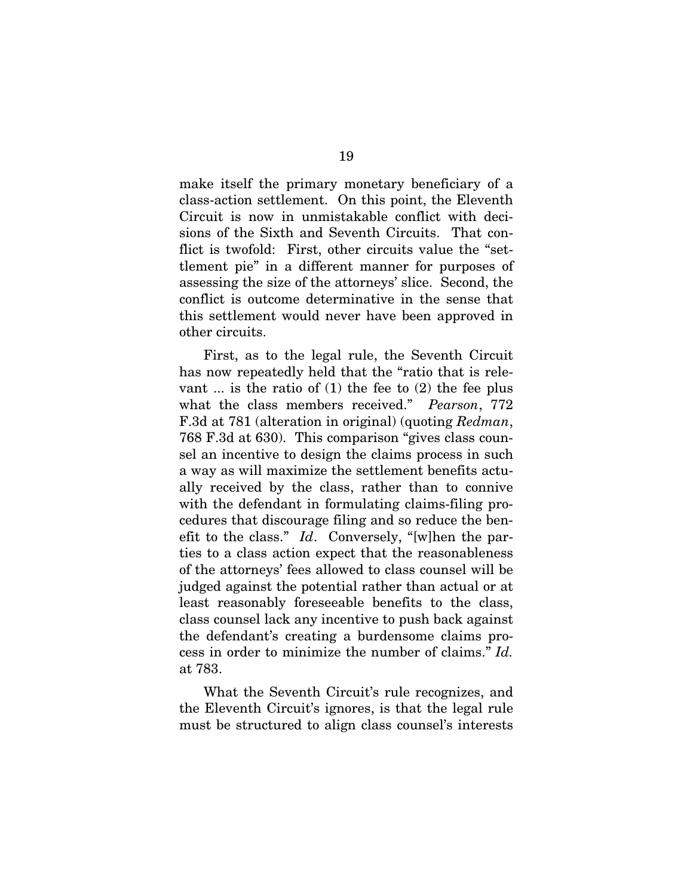make itself the primary monetary beneficiary of a class-action settlement.On this point, the Eleventh Circuit is now in unmistakable conflict with decisions of the Sixth and Seventh Circuits. That conflict is twofold: First, other circuits value the "settlement pie" in a different manner for purposes of assessing the size of the attorneys' slice. Second, the conflict is outcome determinative in the sense that this settlement would never have been approved in other circuits.

First, as to the legal rule, the Seventh Circuit has now repeatedly held that the "ratio that is relevant ... is the ratio of  $(1)$  the fee to  $(2)$  the fee plus what the class members received." *Pearson*, 772 F.3d at 781 (alteration in original) (quoting *Redman*, 768 F.3d at 630). This comparison "gives class counsel an incentive to design the claims process in such a way as will maximize the settlement benefits actually received by the class, rather than to connive with the defendant in formulating claims-filing procedures that discourage filing and so reduce the benefit to the class." *Id*. Conversely, "[w]hen the parties to a class action expect that the reasonableness of the attorneys' fees allowed to class counsel will be judged against the potential rather than actual or at least reasonably foreseeable benefits to the class, class counsel lack any incentive to push back against the defendant's creating a burdensome claims process in order to minimize the number of claims." *Id.*  at 783.

What the Seventh Circuit's rule recognizes, and the Eleventh Circuit's ignores, is that the legal rule must be structured to align class counsel's interests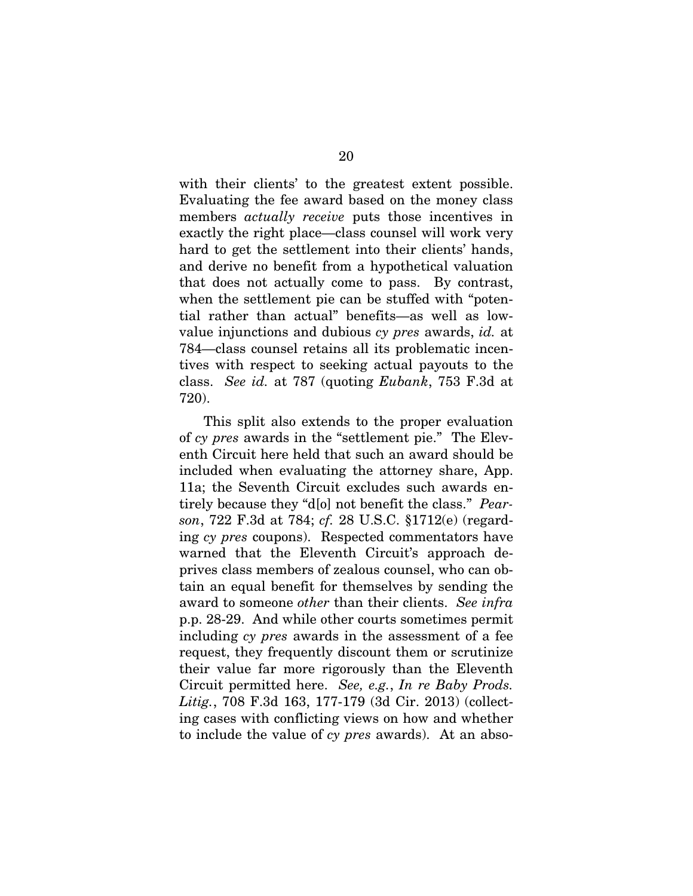with their clients' to the greatest extent possible. Evaluating the fee award based on the money class members *actually receive* puts those incentives in exactly the right place—class counsel will work very hard to get the settlement into their clients' hands, and derive no benefit from a hypothetical valuation that does not actually come to pass. By contrast, when the settlement pie can be stuffed with "potential rather than actual" benefits—as well as lowvalue injunctions and dubious *cy pres* awards, *id.* at 784—class counsel retains all its problematic incentives with respect to seeking actual payouts to the class. *See id.* at 787 (quoting *Eubank*, 753 F.3d at 720).

This split also extends to the proper evaluation of *cy pres* awards in the "settlement pie." The Eleventh Circuit here held that such an award should be included when evaluating the attorney share, App. 11a; the Seventh Circuit excludes such awards entirely because they "d[o] not benefit the class." *Pearson*, 722 F.3d at 784; *cf.* 28 U.S.C. §1712(e) (regarding *cy pres* coupons). Respected commentators have warned that the Eleventh Circuit's approach deprives class members of zealous counsel, who can obtain an equal benefit for themselves by sending the award to someone *other* than their clients. *See infra*  p.p. 28-29. And while other courts sometimes permit including *cy pres* awards in the assessment of a fee request, they frequently discount them or scrutinize their value far more rigorously than the Eleventh Circuit permitted here. *See, e.g.*, *In re Baby Prods. Litig.*, 708 F.3d 163, 177-179 (3d Cir. 2013) (collecting cases with conflicting views on how and whether to include the value of *cy pres* awards). At an abso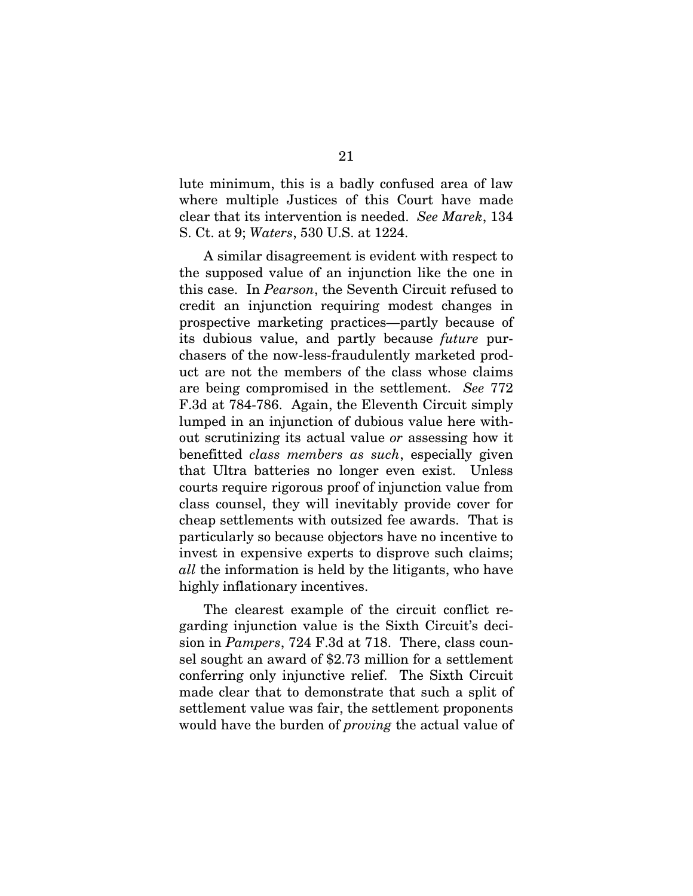lute minimum, this is a badly confused area of law where multiple Justices of this Court have made clear that its intervention is needed. *See Marek*, 134 S. Ct. at 9; *Waters*, 530 U.S. at 1224.

A similar disagreement is evident with respect to the supposed value of an injunction like the one in this case. In *Pearson*, the Seventh Circuit refused to credit an injunction requiring modest changes in prospective marketing practices—partly because of its dubious value, and partly because *future* purchasers of the now-less-fraudulently marketed product are not the members of the class whose claims are being compromised in the settlement. *See* 772 F.3d at 784-786. Again, the Eleventh Circuit simply lumped in an injunction of dubious value here without scrutinizing its actual value *or* assessing how it benefitted *class members as such*, especially given that Ultra batteries no longer even exist. Unless courts require rigorous proof of injunction value from class counsel, they will inevitably provide cover for cheap settlements with outsized fee awards. That is particularly so because objectors have no incentive to invest in expensive experts to disprove such claims; *all* the information is held by the litigants, who have highly inflationary incentives.

The clearest example of the circuit conflict regarding injunction value is the Sixth Circuit's decision in *Pampers*, 724 F.3d at 718. There, class counsel sought an award of \$2.73 million for a settlement conferring only injunctive relief. The Sixth Circuit made clear that to demonstrate that such a split of settlement value was fair, the settlement proponents would have the burden of *proving* the actual value of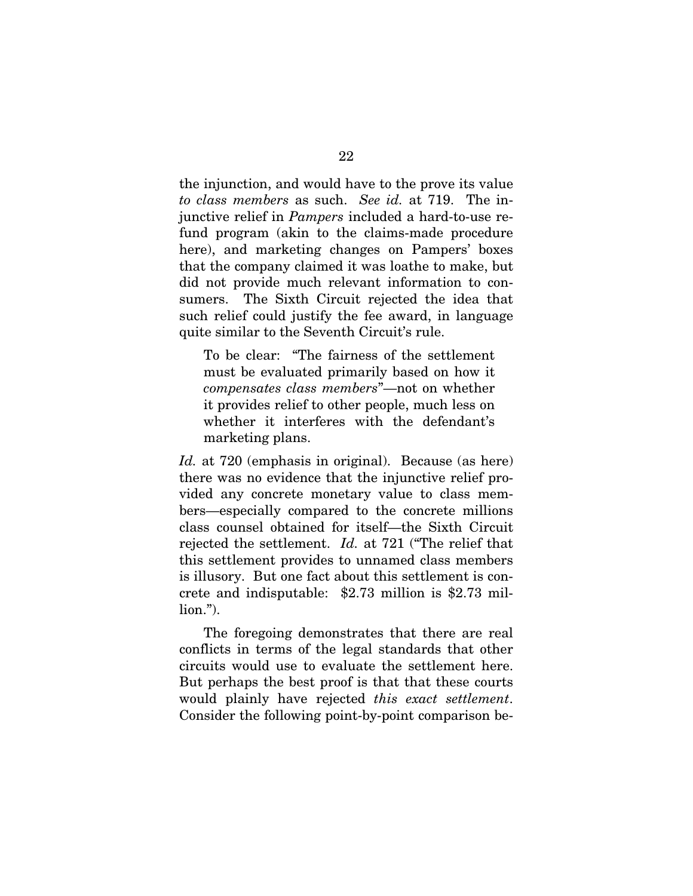the injunction, and would have to the prove its value *to class members* as such. *See id.* at 719. The injunctive relief in *Pampers* included a hard-to-use refund program (akin to the claims-made procedure here), and marketing changes on Pampers' boxes that the company claimed it was loathe to make, but did not provide much relevant information to consumers. The Sixth Circuit rejected the idea that such relief could justify the fee award, in language quite similar to the Seventh Circuit's rule.

To be clear: "The fairness of the settlement must be evaluated primarily based on how it *compensates class members*"—not on whether it provides relief to other people, much less on whether it interferes with the defendant's marketing plans.

*Id.* at 720 (emphasis in original). Because (as here) there was no evidence that the injunctive relief provided any concrete monetary value to class members—especially compared to the concrete millions class counsel obtained for itself—the Sixth Circuit rejected the settlement. *Id.* at 721 ("The relief that this settlement provides to unnamed class members is illusory. But one fact about this settlement is concrete and indisputable: \$2.73 million is \$2.73 million.").

The foregoing demonstrates that there are real conflicts in terms of the legal standards that other circuits would use to evaluate the settlement here. But perhaps the best proof is that that these courts would plainly have rejected *this exact settlement*. Consider the following point-by-point comparison be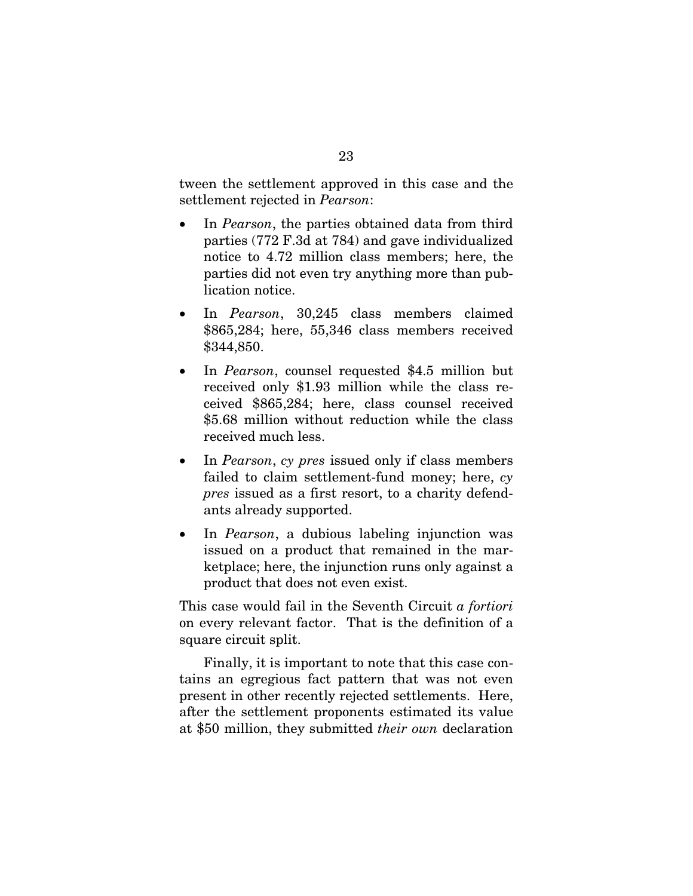tween the settlement approved in this case and the settlement rejected in *Pearson*:

- In *Pearson*, the parties obtained data from third parties (772 F.3d at 784) and gave individualized notice to 4.72 million class members; here, the parties did not even try anything more than publication notice.
- In *Pearson*, 30,245 class members claimed \$865,284; here, 55,346 class members received \$344,850.
- In *Pearson*, counsel requested \$4.5 million but received only \$1.93 million while the class received \$865,284; here, class counsel received \$5.68 million without reduction while the class received much less.
- In *Pearson*, *cy pres* issued only if class members failed to claim settlement-fund money; here, *cy pres* issued as a first resort, to a charity defendants already supported.
- In *Pearson*, a dubious labeling injunction was issued on a product that remained in the marketplace; here, the injunction runs only against a product that does not even exist.

This case would fail in the Seventh Circuit *a fortiori*  on every relevant factor. That is the definition of a square circuit split.

Finally, it is important to note that this case contains an egregious fact pattern that was not even present in other recently rejected settlements. Here, after the settlement proponents estimated its value at \$50 million, they submitted *their own* declaration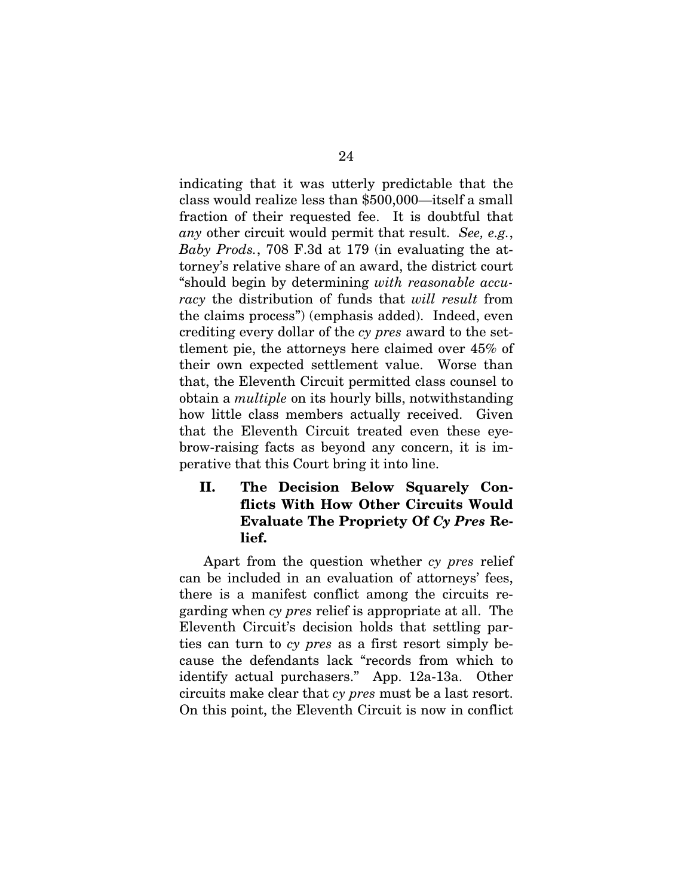indicating that it was utterly predictable that the class would realize less than \$500,000—itself a small fraction of their requested fee. It is doubtful that *any* other circuit would permit that result. *See, e.g.*, *Baby Prods.*, 708 F.3d at 179 (in evaluating the attorney's relative share of an award, the district court "should begin by determining *with reasonable accuracy* the distribution of funds that *will result* from the claims process") (emphasis added). Indeed, even crediting every dollar of the *cy pres* award to the settlement pie, the attorneys here claimed over 45% of their own expected settlement value. Worse than that, the Eleventh Circuit permitted class counsel to obtain a *multiple* on its hourly bills, notwithstanding how little class members actually received. Given that the Eleventh Circuit treated even these eyebrow-raising facts as beyond any concern, it is imperative that this Court bring it into line.

II. The Decision Below Squarely Conflicts With How Other Circuits Would Evaluate The Propriety Of *Cy Pres* Relief.

Apart from the question whether *cy pres* relief can be included in an evaluation of attorneys' fees, there is a manifest conflict among the circuits regarding when *cy pres* relief is appropriate at all. The Eleventh Circuit's decision holds that settling parties can turn to *cy pres* as a first resort simply because the defendants lack "records from which to identify actual purchasers." App. 12a-13a. Other circuits make clear that *cy pres* must be a last resort. On this point, the Eleventh Circuit is now in conflict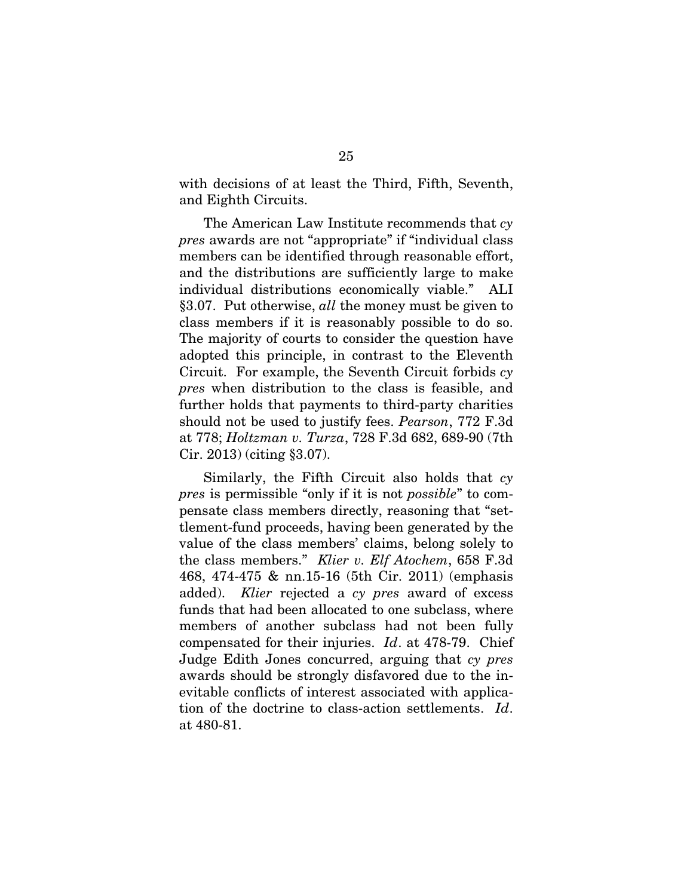with decisions of at least the Third, Fifth, Seventh, and Eighth Circuits.

The American Law Institute recommends that *cy pres* awards are not "appropriate" if "individual class members can be identified through reasonable effort, and the distributions are sufficiently large to make individual distributions economically viable." ALI §3.07. Put otherwise, *all* the money must be given to class members if it is reasonably possible to do so. The majority of courts to consider the question have adopted this principle, in contrast to the Eleventh Circuit. For example, the Seventh Circuit forbids *cy pres* when distribution to the class is feasible, and further holds that payments to third-party charities should not be used to justify fees. *Pearson*, 772 F.3d at 778; *Holtzman v. Turza*, 728 F.3d 682, 689-90 (7th Cir. 2013) (citing §3.07).

Similarly, the Fifth Circuit also holds that *cy pres* is permissible "only if it is not *possible*" to compensate class members directly, reasoning that "settlement-fund proceeds, having been generated by the value of the class members' claims, belong solely to the class members." *Klier v. Elf Atochem*, 658 F.3d 468, 474-475 & nn.15-16 (5th Cir. 2011) (emphasis added). *Klier* rejected a *cy pres* award of excess funds that had been allocated to one subclass, where members of another subclass had not been fully compensated for their injuries. *Id*. at 478-79. Chief Judge Edith Jones concurred, arguing that *cy pres* awards should be strongly disfavored due to the inevitable conflicts of interest associated with application of the doctrine to class-action settlements. *Id*. at 480-81.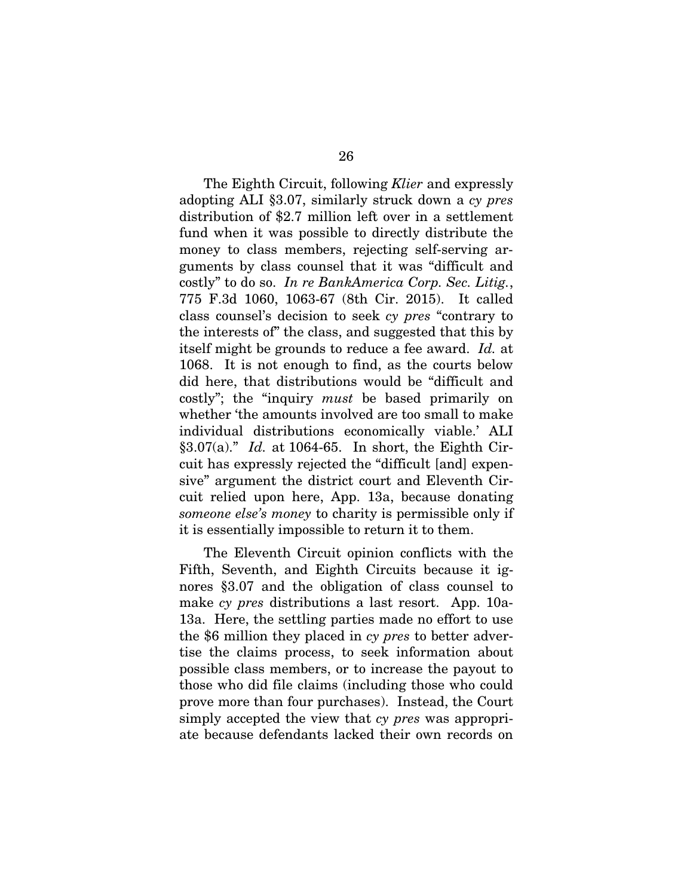The Eighth Circuit, following *Klier* and expressly adopting ALI §3.07, similarly struck down a *cy pres*  distribution of \$2.7 million left over in a settlement fund when it was possible to directly distribute the money to class members, rejecting self-serving arguments by class counsel that it was "difficult and costly" to do so. *In re BankAmerica Corp. Sec. Litig.*, 775 F.3d 1060, 1063-67 (8th Cir. 2015). It called class counsel's decision to seek *cy pres* "contrary to the interests of" the class, and suggested that this by itself might be grounds to reduce a fee award. *Id.* at 1068. It is not enough to find, as the courts below did here, that distributions would be "difficult and costly"; the "inquiry *must* be based primarily on whether 'the amounts involved are too small to make individual distributions economically viable.' ALI §3.07(a)." *Id.* at 1064-65. In short, the Eighth Circuit has expressly rejected the "difficult [and] expensive" argument the district court and Eleventh Circuit relied upon here, App. 13a, because donating *someone else's money* to charity is permissible only if it is essentially impossible to return it to them.

The Eleventh Circuit opinion conflicts with the Fifth, Seventh, and Eighth Circuits because it ignores §3.07 and the obligation of class counsel to make *cy pres* distributions a last resort. App. 10a-13a. Here, the settling parties made no effort to use the \$6 million they placed in *cy pres* to better advertise the claims process, to seek information about possible class members, or to increase the payout to those who did file claims (including those who could prove more than four purchases). Instead, the Court simply accepted the view that *cy pres* was appropriate because defendants lacked their own records on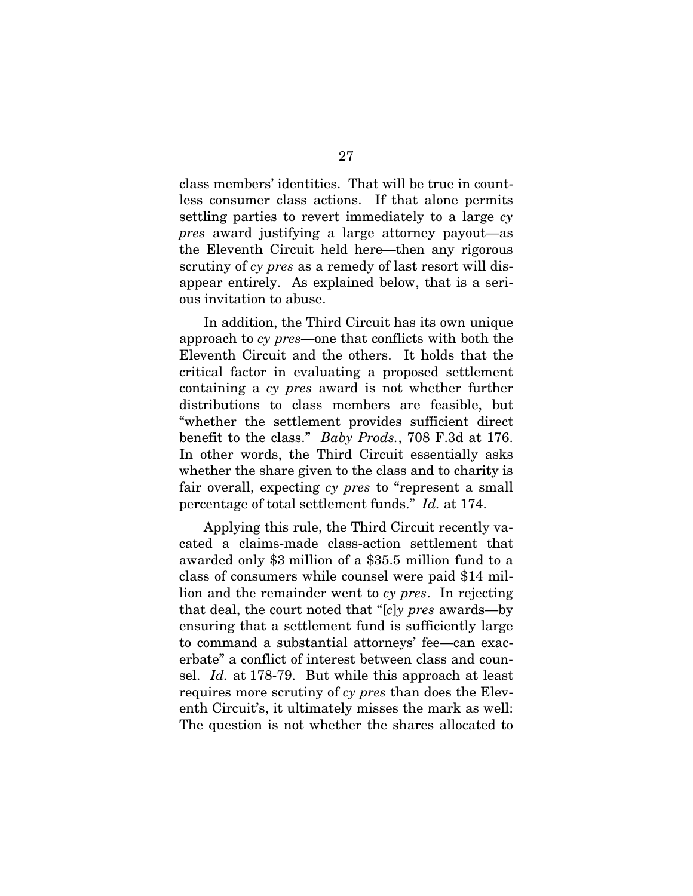class members' identities. That will be true in countless consumer class actions. If that alone permits settling parties to revert immediately to a large *cy pres* award justifying a large attorney payout—as the Eleventh Circuit held here—then any rigorous scrutiny of *cy pres* as a remedy of last resort will disappear entirely. As explained below, that is a serious invitation to abuse.

In addition, the Third Circuit has its own unique approach to *cy pres*—one that conflicts with both the Eleventh Circuit and the others. It holds that the critical factor in evaluating a proposed settlement containing a *cy pres* award is not whether further distributions to class members are feasible, but "whether the settlement provides sufficient direct benefit to the class." *Baby Prods.*, 708 F.3d at 176. In other words, the Third Circuit essentially asks whether the share given to the class and to charity is fair overall, expecting *cy pres* to "represent a small percentage of total settlement funds." *Id.* at 174.

Applying this rule, the Third Circuit recently vacated a claims-made class-action settlement that awarded only \$3 million of a \$35.5 million fund to a class of consumers while counsel were paid \$14 million and the remainder went to *cy pres*. In rejecting that deal, the court noted that "[*c*]*y pres* awards—by ensuring that a settlement fund is sufficiently large to command a substantial attorneys' fee—can exacerbate" a conflict of interest between class and counsel. *Id.* at 178-79. But while this approach at least requires more scrutiny of *cy pres* than does the Eleventh Circuit's, it ultimately misses the mark as well: The question is not whether the shares allocated to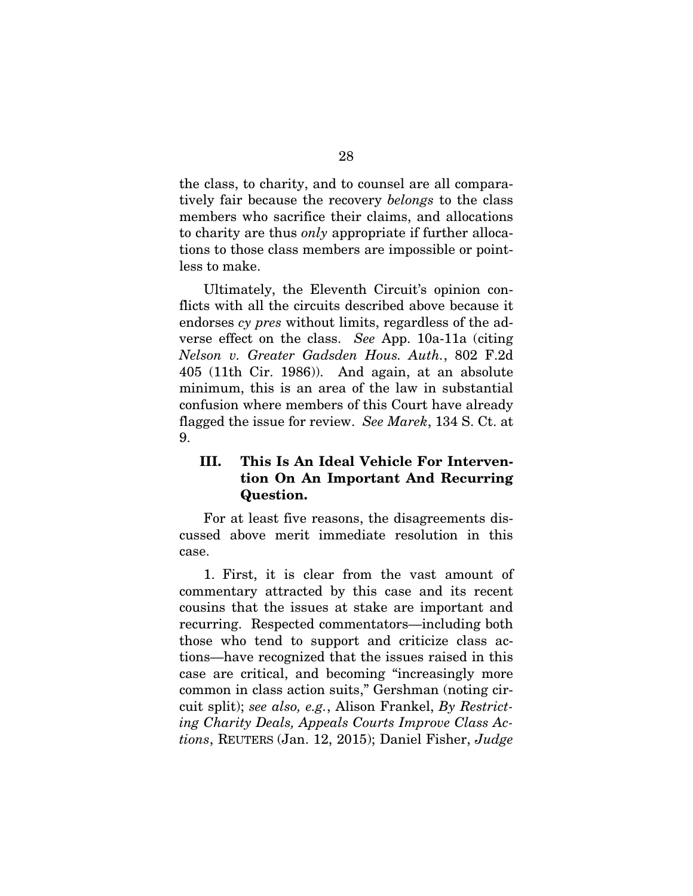the class, to charity, and to counsel are all comparatively fair because the recovery *belongs* to the class members who sacrifice their claims, and allocations to charity are thus *only* appropriate if further allocations to those class members are impossible or pointless to make.

Ultimately, the Eleventh Circuit's opinion conflicts with all the circuits described above because it endorses *cy pres* without limits, regardless of the adverse effect on the class. *See* App. 10a-11a (citing *Nelson v. Greater Gadsden Hous. Auth.*, 802 F.2d 405 (11th Cir. 1986)). And again, at an absolute minimum, this is an area of the law in substantial confusion where members of this Court have already flagged the issue for review. *See Marek*, 134 S. Ct. at 9.

## III. This Is An Ideal Vehicle For Intervention On An Important And Recurring Question.

For at least five reasons, the disagreements discussed above merit immediate resolution in this case.

1. First, it is clear from the vast amount of commentary attracted by this case and its recent cousins that the issues at stake are important and recurring. Respected commentators—including both those who tend to support and criticize class actions—have recognized that the issues raised in this case are critical, and becoming "increasingly more common in class action suits," Gershman (noting circuit split); *see also, e.g.*, Alison Frankel, *By Restricting Charity Deals, Appeals Courts Improve Class Actions*, REUTERS (Jan. 12, 2015); Daniel Fisher, *Judge*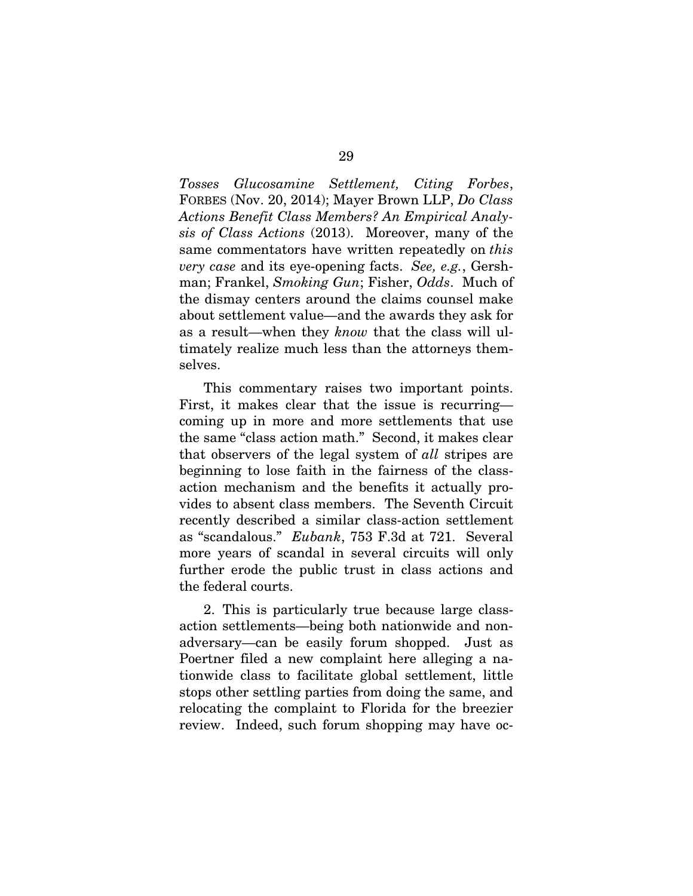*Tosses Glucosamine Settlement, Citing Forbes*, FORBES (Nov. 20, 2014); Mayer Brown LLP, *Do Class Actions Benefit Class Members? An Empirical Analysis of Class Actions* (2013). Moreover, many of the same commentators have written repeatedly on *this very case* and its eye-opening facts. *See, e.g.*, Gershman; Frankel, *Smoking Gun*; Fisher, *Odds*. Much of the dismay centers around the claims counsel make about settlement value—and the awards they ask for as a result—when they *know* that the class will ultimately realize much less than the attorneys themselves.

This commentary raises two important points. First, it makes clear that the issue is recurring coming up in more and more settlements that use the same "class action math." Second, it makes clear that observers of the legal system of *all* stripes are beginning to lose faith in the fairness of the classaction mechanism and the benefits it actually provides to absent class members. The Seventh Circuit recently described a similar class-action settlement as "scandalous." *Eubank*, 753 F.3d at 721. Several more years of scandal in several circuits will only further erode the public trust in class actions and the federal courts.

2. This is particularly true because large classaction settlements—being both nationwide and nonadversary—can be easily forum shopped. Just as Poertner filed a new complaint here alleging a nationwide class to facilitate global settlement, little stops other settling parties from doing the same, and relocating the complaint to Florida for the breezier review. Indeed, such forum shopping may have oc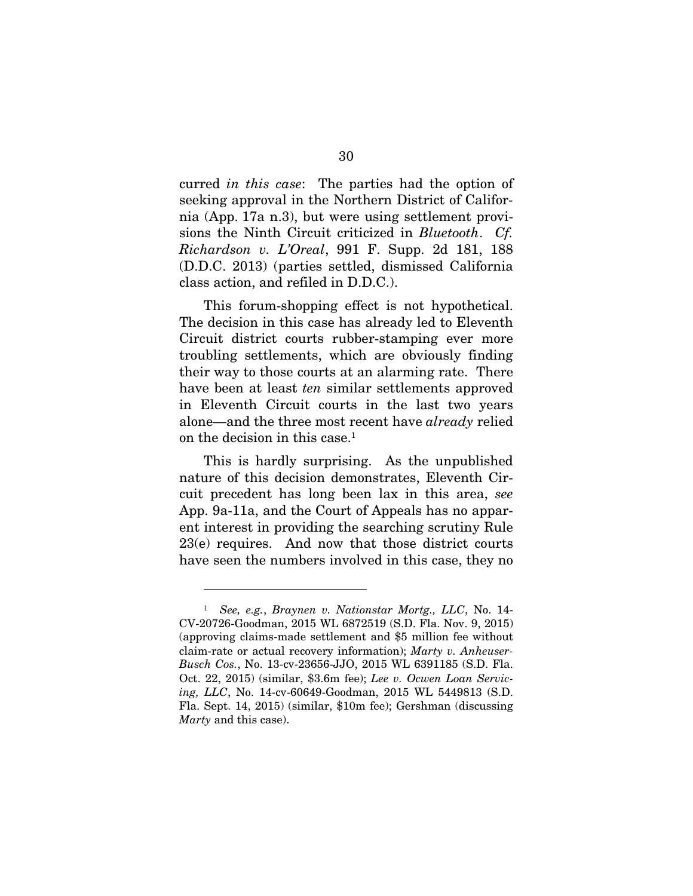curred *in this case*: The parties had the option of seeking approval in the Northern District of California (App. 17a n.3), but were using settlement provisions the Ninth Circuit criticized in *Bluetooth*. *Cf. Richardson v. L'Oreal*, 991 F. Supp. 2d 181, 188 (D.D.C. 2013) (parties settled, dismissed California class action, and refiled in D.D.C.).

This forum-shopping effect is not hypothetical. The decision in this case has already led to Eleventh Circuit district courts rubber-stamping ever more troubling settlements, which are obviously finding their way to those courts at an alarming rate. There have been at least *ten* similar settlements approved in Eleventh Circuit courts in the last two years alone—and the three most recent have *already* relied on the decision in this case.<sup>1</sup>

This is hardly surprising. As the unpublished nature of this decision demonstrates, Eleventh Circuit precedent has long been lax in this area, *see*  App. 9a-11a, and the Court of Appeals has no apparent interest in providing the searching scrutiny Rule 23(e) requires. And now that those district courts have seen the numbers involved in this case, they no

 $\overline{a}$ 

<sup>1</sup> *See, e.g.*, *Braynen v. Nationstar Mortg., LLC*, No. 14- CV-20726-Goodman, 2015 WL 6872519 (S.D. Fla. Nov. 9, 2015) (approving claims-made settlement and \$5 million fee without claim-rate or actual recovery information); *Marty v. Anheuser-Busch Cos.*, No. 13-cv-23656-JJO, 2015 WL 6391185 (S.D. Fla. Oct. 22, 2015) (similar, \$3.6m fee); *Lee v. Ocwen Loan Servicing, LLC*, No. 14-cv-60649-Goodman, 2015 WL 5449813 (S.D. Fla. Sept. 14, 2015) (similar, \$10m fee); Gershman (discussing *Marty* and this case).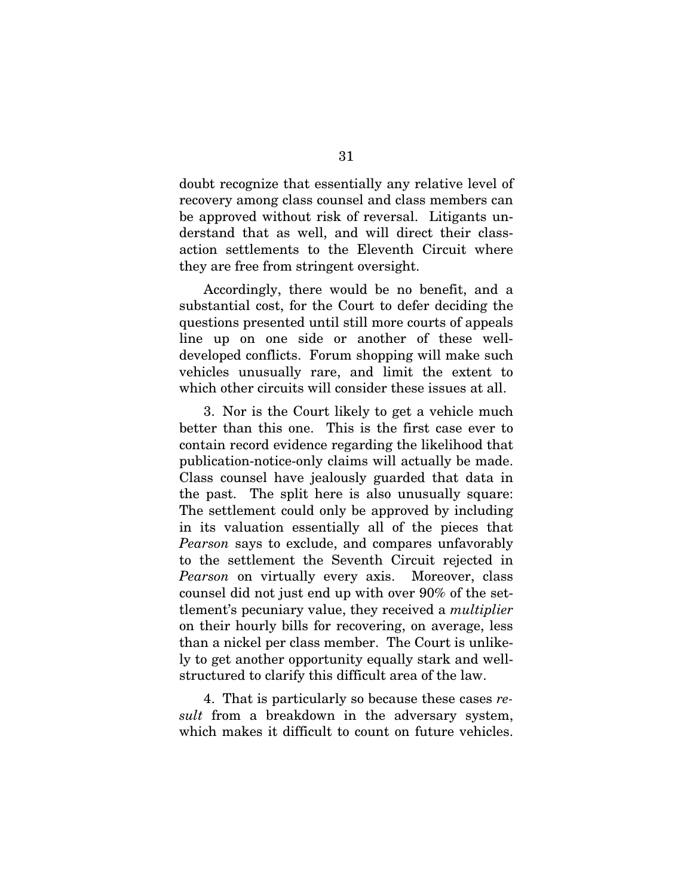doubt recognize that essentially any relative level of recovery among class counsel and class members can be approved without risk of reversal. Litigants understand that as well, and will direct their classaction settlements to the Eleventh Circuit where they are free from stringent oversight.

Accordingly, there would be no benefit, and a substantial cost, for the Court to defer deciding the questions presented until still more courts of appeals line up on one side or another of these welldeveloped conflicts. Forum shopping will make such vehicles unusually rare, and limit the extent to which other circuits will consider these issues at all.

3. Nor is the Court likely to get a vehicle much better than this one. This is the first case ever to contain record evidence regarding the likelihood that publication-notice-only claims will actually be made. Class counsel have jealously guarded that data in the past. The split here is also unusually square: The settlement could only be approved by including in its valuation essentially all of the pieces that *Pearson* says to exclude, and compares unfavorably to the settlement the Seventh Circuit rejected in *Pearson* on virtually every axis. Moreover, class counsel did not just end up with over 90% of the settlement's pecuniary value, they received a *multiplier*  on their hourly bills for recovering, on average, less than a nickel per class member. The Court is unlikely to get another opportunity equally stark and wellstructured to clarify this difficult area of the law.

4. That is particularly so because these cases *result* from a breakdown in the adversary system, which makes it difficult to count on future vehicles.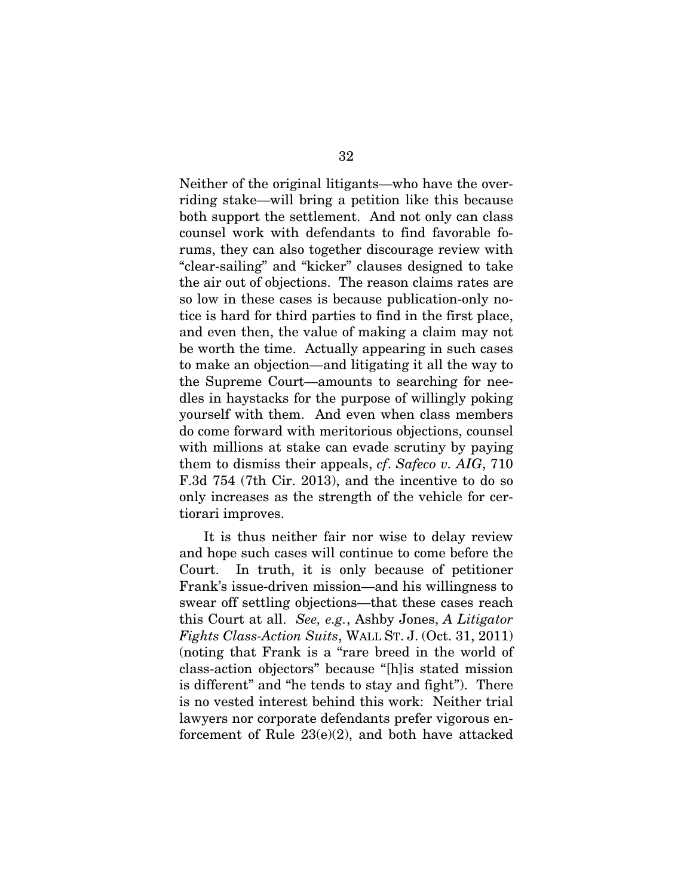Neither of the original litigants—who have the overriding stake—will bring a petition like this because both support the settlement. And not only can class counsel work with defendants to find favorable forums, they can also together discourage review with "clear-sailing" and "kicker" clauses designed to take the air out of objections. The reason claims rates are so low in these cases is because publication-only notice is hard for third parties to find in the first place, and even then, the value of making a claim may not be worth the time. Actually appearing in such cases to make an objection—and litigating it all the way to the Supreme Court—amounts to searching for needles in haystacks for the purpose of willingly poking yourself with them. And even when class members do come forward with meritorious objections, counsel with millions at stake can evade scrutiny by paying them to dismiss their appeals, *cf*. *Safeco v. AIG*, 710 F.3d 754 (7th Cir. 2013), and the incentive to do so only increases as the strength of the vehicle for certiorari improves.

It is thus neither fair nor wise to delay review and hope such cases will continue to come before the Court. In truth, it is only because of petitioner Frank's issue-driven mission—and his willingness to swear off settling objections—that these cases reach this Court at all. *See, e.g.*, Ashby Jones, *A Litigator Fights Class-Action Suits*, WALL ST. J. (Oct. 31, 2011) (noting that Frank is a "rare breed in the world of class-action objectors" because "[h]is stated mission is different" and "he tends to stay and fight"). There is no vested interest behind this work: Neither trial lawyers nor corporate defendants prefer vigorous enforcement of Rule 23(e)(2), and both have attacked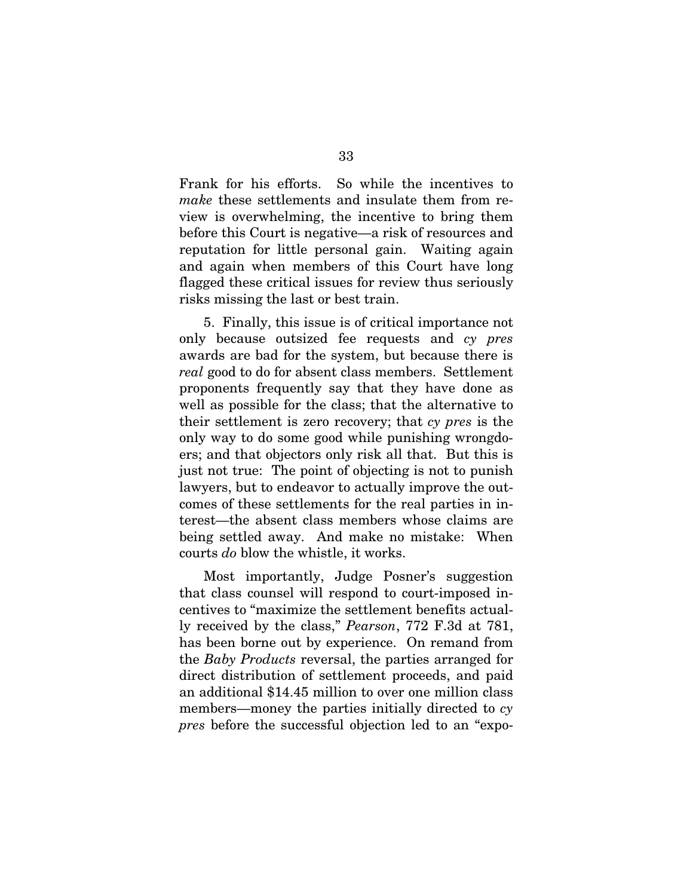Frank for his efforts. So while the incentives to *make* these settlements and insulate them from review is overwhelming, the incentive to bring them before this Court is negative—a risk of resources and reputation for little personal gain. Waiting again and again when members of this Court have long flagged these critical issues for review thus seriously risks missing the last or best train.

5. Finally, this issue is of critical importance not only because outsized fee requests and *cy pres*  awards are bad for the system, but because there is *real* good to do for absent class members. Settlement proponents frequently say that they have done as well as possible for the class; that the alternative to their settlement is zero recovery; that *cy pres* is the only way to do some good while punishing wrongdoers; and that objectors only risk all that. But this is just not true: The point of objecting is not to punish lawyers, but to endeavor to actually improve the outcomes of these settlements for the real parties in interest—the absent class members whose claims are being settled away. And make no mistake: When courts *do* blow the whistle, it works.

Most importantly, Judge Posner's suggestion that class counsel will respond to court-imposed incentives to "maximize the settlement benefits actually received by the class," *Pearson*, 772 F.3d at 781, has been borne out by experience. On remand from the *Baby Products* reversal, the parties arranged for direct distribution of settlement proceeds, and paid an additional \$14.45 million to over one million class members—money the parties initially directed to *cy pres* before the successful objection led to an "expo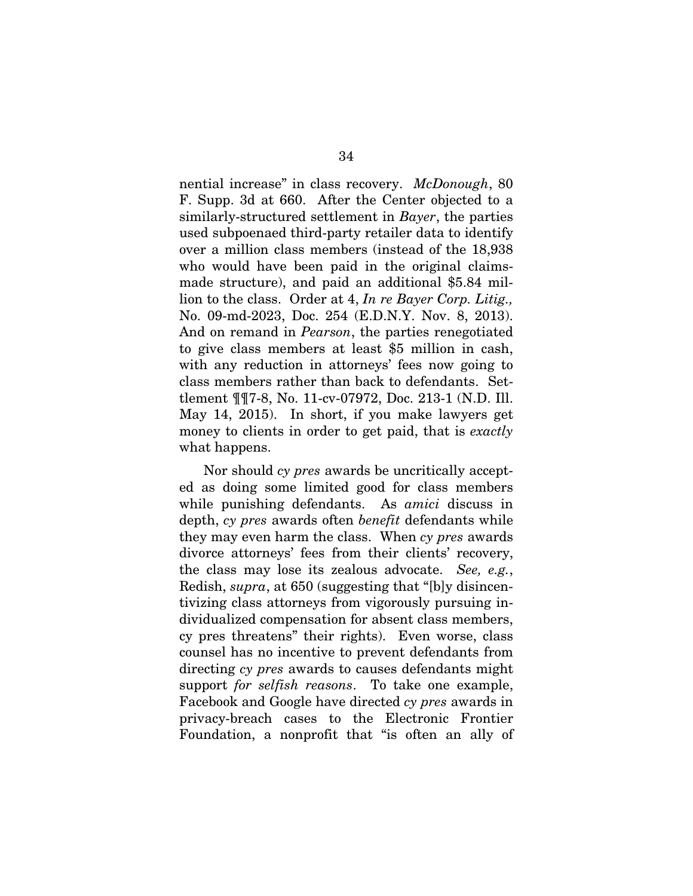nential increase" in class recovery. *McDonough*, 80 F. Supp. 3d at 660. After the Center objected to a similarly-structured settlement in *Bayer*, the parties used subpoenaed third-party retailer data to identify over a million class members (instead of the 18,938 who would have been paid in the original claimsmade structure), and paid an additional \$5.84 million to the class. Order at 4, *In re Bayer Corp. Litig.,*  No. 09-md-2023, Doc. 254 (E.D.N.Y. Nov. 8, 2013). And on remand in *Pearson*, the parties renegotiated to give class members at least \$5 million in cash, with any reduction in attorneys' fees now going to class members rather than back to defendants. Settlement ¶¶7-8, No. 11-cv-07972, Doc. 213-1 (N.D. Ill. May 14, 2015). In short, if you make lawyers get money to clients in order to get paid, that is *exactly*  what happens.

Nor should *cy pres* awards be uncritically accepted as doing some limited good for class members while punishing defendants. As *amici* discuss in depth, *cy pres* awards often *benefit* defendants while they may even harm the class. When *cy pres* awards divorce attorneys' fees from their clients' recovery, the class may lose its zealous advocate. *See, e.g.*, Redish, *supra*, at 650 (suggesting that "[b]y disincentivizing class attorneys from vigorously pursuing individualized compensation for absent class members, cy pres threatens" their rights). Even worse, class counsel has no incentive to prevent defendants from directing *cy pres* awards to causes defendants might support *for selfish reasons*. To take one example, Facebook and Google have directed *cy pres* awards in privacy-breach cases to the Electronic Frontier Foundation, a nonprofit that "is often an ally of